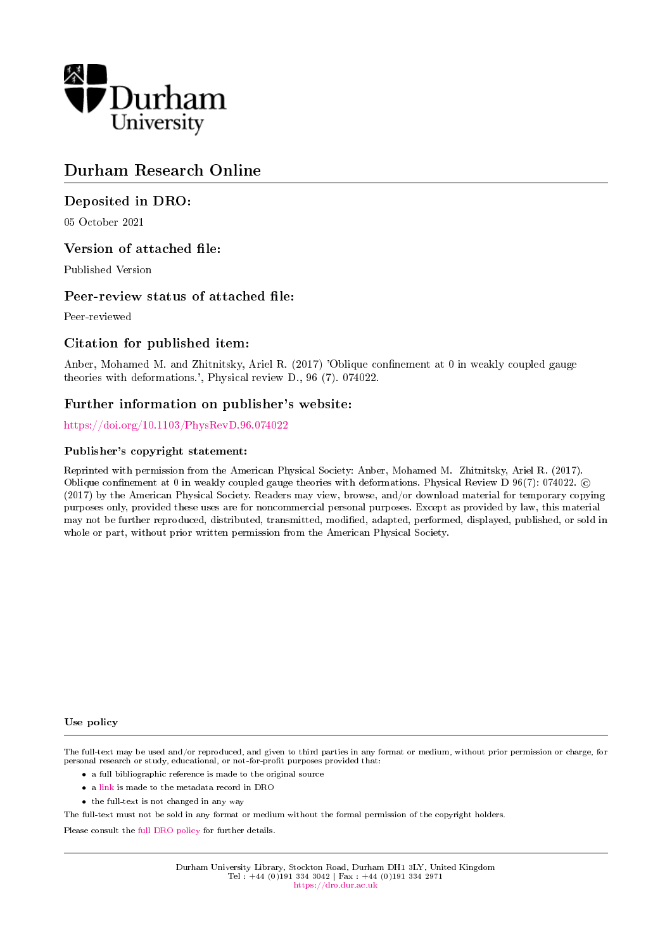

# Durham Research Online

## Deposited in DRO:

05 October 2021

## Version of attached file:

Published Version

## Peer-review status of attached file:

Peer-reviewed

## Citation for published item:

Anber, Mohamed M. and Zhitnitsky, Ariel R. (2017) 'Oblique confinement at 0 in weakly coupled gauge theories with deformations.', Physical review D., 96 (7). 074022.

## Further information on publisher's website:

<https://doi.org/10.1103/PhysRevD.96.074022>

## Publisher's copyright statement:

Reprinted with permission from the American Physical Society: Anber, Mohamed M. Zhitnitsky, Ariel R. (2017). Oblique confinement at 0 in weakly coupled gauge theories with deformations. Physical Review D  $96(7)$ : 074022.  $\odot$ (2017) by the American Physical Society. Readers may view, browse, and/or download material for temporary copying purposes only, provided these uses are for noncommercial personal purposes. Except as provided by law, this material may not be further reproduced, distributed, transmitted, modied, adapted, performed, displayed, published, or sold in whole or part, without prior written permission from the American Physical Society.

#### Use policy

The full-text may be used and/or reproduced, and given to third parties in any format or medium, without prior permission or charge, for personal research or study, educational, or not-for-profit purposes provided that:

- a full bibliographic reference is made to the original source
- a [link](http://dro.dur.ac.uk/34063/) is made to the metadata record in DRO
- the full-text is not changed in any way

The full-text must not be sold in any format or medium without the formal permission of the copyright holders.

Please consult the [full DRO policy](https://dro.dur.ac.uk/policies/usepolicy.pdf) for further details.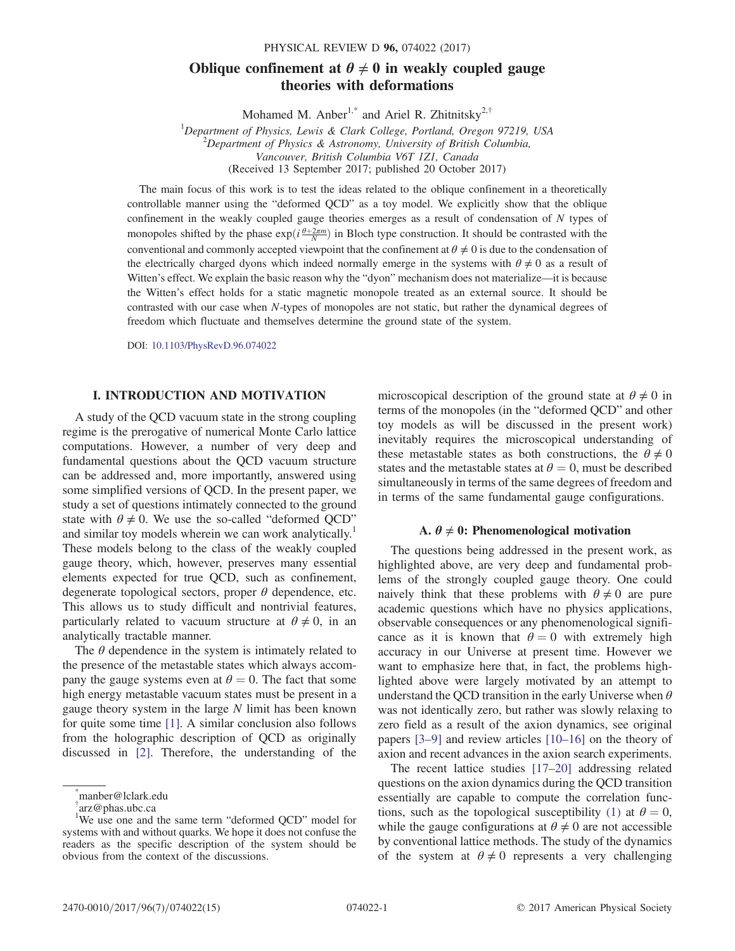## Oblique confinement at  $\theta \neq 0$  in weakly coupled gauge theories with deformations

Mohamed M. Anber<sup>1[,\\*](#page-1-0)</sup> and Ariel R. Zhitnitsky<sup>2,[†](#page-1-1)</sup>

<sup>1</sup>Department of Physics, Lewis & Clark College, Portland, Oregon 97219, USA<br><sup>2</sup>Department of Physics, & Astronomy, University of Pritish Columbia <sup>2</sup>Department of Physics & Astronomy, University of British Columbia, Vancouver, British Columbia V6T 1Z1, Canada (Received 13 September 2017; published 20 October 2017)

<span id="page-1-2"></span>The main focus of this work is to test the ideas related to the oblique confinement in a theoretically controllable manner using the "deformed QCD" as a toy model. We explicitly show that the oblique confinement in the weakly coupled gauge theories emerges as a result of condensation of N types of monopoles shifted by the phase  $exp(i\frac{\theta+2\pi m}{N})$  in Bloch type construction. It should be contrasted with the conventional and commonly accepted viewpoint that the confinement at  $\theta \neq 0$  is due to the condensation of the electrically charged dyons which indeed normally emerge in the systems with  $\theta \neq 0$  as a result of Witten's effect. We explain the basic reason why the "dyon" mechanism does not materialize—it is because the Witten's effect holds for a static magnetic monopole treated as an external source. It should be contrasted with our case when N-types of monopoles are not static, but rather the dynamical degrees of freedom which fluctuate and themselves determine the ground state of the system.

DOI: [10.1103/PhysRevD.96.074022](https://doi.org/10.1103/PhysRevD.96.074022)

### I. INTRODUCTION AND MOTIVATION

A study of the QCD vacuum state in the strong coupling regime is the prerogative of numerical Monte Carlo lattice computations. However, a number of very deep and fundamental questions about the QCD vacuum structure can be addressed and, more importantly, answered using some simplified versions of QCD. In the present paper, we study a set of questions intimately connected to the ground state with  $\theta \neq 0$ . We use the so-called "deformed QCD" and similar toy models wherein we can work analytically.<sup>1</sup> These models belong to the class of the weakly coupled gauge theory, which, however, preserves many essential elements expected for true QCD, such as confinement, degenerate topological sectors, proper  $\theta$  dependence, etc. This allows us to study difficult and nontrivial features, particularly related to vacuum structure at  $\theta \neq 0$ , in an analytically tractable manner.

The  $\theta$  dependence in the system is intimately related to the presence of the metastable states which always accompany the gauge systems even at  $\theta = 0$ . The fact that some high energy metastable vacuum states must be present in a gauge theory system in the large N limit has been known for quite some time [\[1\].](#page-15-0) A similar conclusion also follows from the holographic description of QCD as originally discussed in [\[2\]](#page-15-1). Therefore, the understanding of the

microscopical description of the ground state at  $\theta \neq 0$  in terms of the monopoles (in the "deformed QCD" and other toy models as will be discussed in the present work) inevitably requires the microscopical understanding of these metastable states as both constructions, the  $\theta \neq 0$ states and the metastable states at  $\theta = 0$ , must be described simultaneously in terms of the same degrees of freedom and in terms of the same fundamental gauge configurations.

#### A.  $\theta \neq 0$ : Phenomenological motivation

<span id="page-1-3"></span>The questions being addressed in the present work, as highlighted above, are very deep and fundamental problems of the strongly coupled gauge theory. One could naively think that these problems with  $\theta \neq 0$  are pure academic questions which have no physics applications, observable consequences or any phenomenological significance as it is known that  $\theta = 0$  with extremely high accuracy in our Universe at present time. However we want to emphasize here that, in fact, the problems highlighted above were largely motivated by an attempt to understand the QCD transition in the early Universe when  $\theta$ was not identically zero, but rather was slowly relaxing to zero field as a result of the axion dynamics, see original papers [3–[9\]](#page-15-2) and review articles [10–[16\]](#page-15-3) on the theory of axion and recent advances in the axion search experiments.

The recent lattice studies [\[17](#page-15-4)–20] addressing related questions on the axion dynamics during the QCD transition essentially are capable to compute the correlation func-tions, such as the topological susceptibility [\(1\)](#page-2-0) at  $\theta = 0$ , while the gauge configurations at  $\theta \neq 0$  are not accessible by conventional lattice methods. The study of the dynamics of the system at  $\theta \neq 0$  represents a very challenging

<span id="page-1-0"></span>[<sup>\\*</sup>](#page-1-2) manber@lclark.edu

<span id="page-1-1"></span>[<sup>†</sup>](#page-1-2) arz@phas.ubc.ca

<sup>&</sup>lt;sup>1</sup>We use one and the same term "deformed QCD" model for systems with and without quarks. We hope it does not confuse the readers as the specific description of the system should be obvious from the context of the discussions.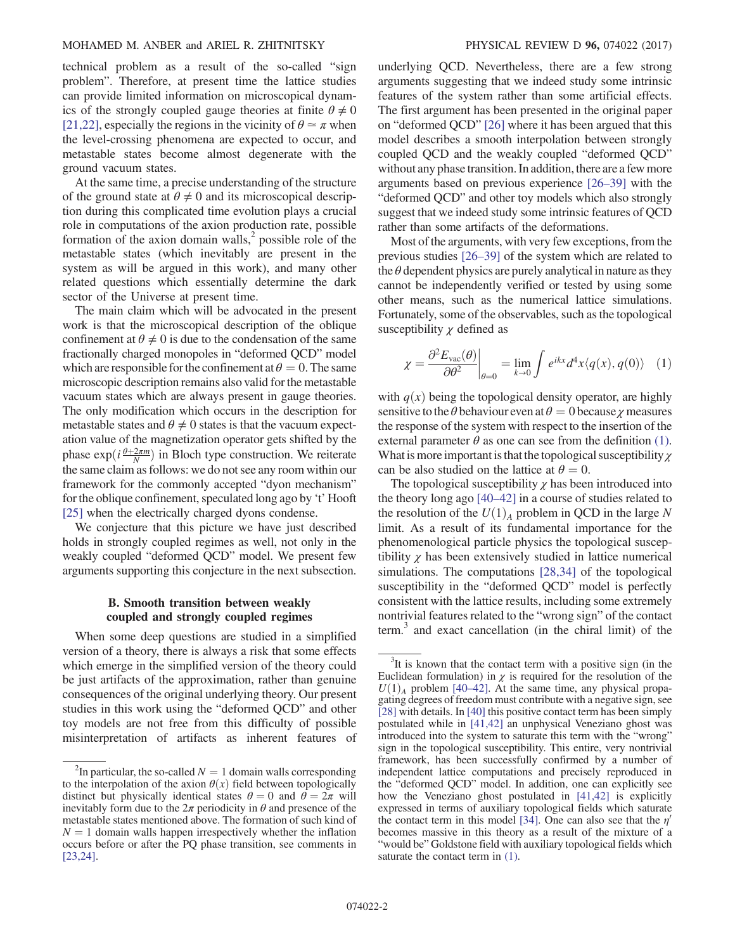technical problem as a result of the so-called "sign problem". Therefore, at present time the lattice studies can provide limited information on microscopical dynamics of the strongly coupled gauge theories at finite  $\theta \neq 0$ [\[21,22\]](#page-15-5), especially the regions in the vicinity of  $\theta \approx \pi$  when the level-crossing phenomena are expected to occur, and metastable states become almost degenerate with the ground vacuum states.

At the same time, a precise understanding of the structure of the ground state at  $\theta \neq 0$  and its microscopical description during this complicated time evolution plays a crucial role in computations of the axion production rate, possible formation of the axion domain walls, $<sup>2</sup>$  possible role of the</sup> metastable states (which inevitably are present in the system as will be argued in this work), and many other related questions which essentially determine the dark sector of the Universe at present time.

The main claim which will be advocated in the present work is that the microscopical description of the oblique confinement at  $\theta \neq 0$  is due to the condensation of the same fractionally charged monopoles in "deformed QCD" model which are responsible for the confinement at  $\theta = 0$ . The same microscopic description remains also valid for the metastable vacuum states which are always present in gauge theories. The only modification which occurs in the description for metastable states and  $\theta \neq 0$  states is that the vacuum expectation value of the magnetization operator gets shifted by the phase  $\exp\left(i\frac{\theta+2\pi m}{N}\right)$  in Bloch type construction. We reiterate the same claim as follows: we do not see any room within our framework for the commonly accepted "dyon mechanism" for the oblique confinement, speculated long ago by 't' Hooft [\[25\]](#page-15-6) when the electrically charged dyons condense.

We conjecture that this picture we have just described holds in strongly coupled regimes as well, not only in the weakly coupled "deformed QCD" model. We present few arguments supporting this conjecture in the next subsection.

### <span id="page-2-1"></span>B. Smooth transition between weakly coupled and strongly coupled regimes

When some deep questions are studied in a simplified version of a theory, there is always a risk that some effects which emerge in the simplified version of the theory could be just artifacts of the approximation, rather than genuine consequences of the original underlying theory. Our present studies in this work using the "deformed QCD" and other toy models are not free from this difficulty of possible misinterpretation of artifacts as inherent features of underlying QCD. Nevertheless, there are a few strong arguments suggesting that we indeed study some intrinsic features of the system rather than some artificial effects. The first argument has been presented in the original paper on "deformed QCD" [\[26\]](#page-15-7) where it has been argued that this model describes a smooth interpolation between strongly coupled QCD and the weakly coupled "deformed QCD" without any phase transition. In addition, there are a few more arguments based on previous experience [26–[39\]](#page-15-7) with the "deformed QCD" and other toy models which also strongly suggest that we indeed study some intrinsic features of QCD rather than some artifacts of the deformations.

Most of the arguments, with very few exceptions, from the previous studies [\[26](#page-15-7)–39] of the system which are related to the  $\theta$  dependent physics are purely analytical in nature as they cannot be independently verified or tested by using some other means, such as the numerical lattice simulations. Fortunately, some of the observables, such as the topological susceptibility  $\chi$  defined as

<span id="page-2-0"></span>
$$
\chi = \frac{\partial^2 E_{\text{vac}}(\theta)}{\partial \theta^2}\bigg|_{\theta=0} = \lim_{k \to 0} \int e^{ikx} d^4x \langle q(x), q(0) \rangle \quad (1)
$$

with  $q(x)$  being the topological density operator, are highly sensitive to the  $\theta$  behaviour even at  $\theta = 0$  because  $\gamma$  measures the response of the system with respect to the insertion of the external parameter  $\theta$  as one can see from the definition [\(1\)](#page-2-0). What is more important is that the topological susceptibility  $\chi$ can be also studied on the lattice at  $\theta = 0$ .

The topological susceptibility  $\gamma$  has been introduced into the theory long ago [\[40](#page-15-8)–42] in a course of studies related to the resolution of the  $U(1)_{A}$  problem in QCD in the large N limit. As a result of its fundamental importance for the phenomenological particle physics the topological susceptibility  $\gamma$  has been extensively studied in lattice numerical simulations. The computations [\[28,34\]](#page-15-9) of the topological susceptibility in the "deformed QCD" model is perfectly consistent with the lattice results, including some extremely nontrivial features related to the "wrong sign" of the contact term.3 and exact cancellation (in the chiral limit) of the

<sup>&</sup>lt;sup>2</sup>In particular, the so-called  $N = 1$  domain walls corresponding to the interpolation of the axion  $\theta(x)$  field between topologically distinct but physically identical states  $\theta = 0$  and  $\theta = 2\pi$  will inevitably form due to the  $2\pi$  periodicity in  $\theta$  and presence of the metastable states mentioned above. The formation of such kind of  $N = 1$  domain walls happen irrespectively whether the inflation occurs before or after the PQ phase transition, see comments in [\[23,24\].](#page-15-10)

 $3$ It is known that the contact term with a positive sign (in the Euclidean formulation) in  $\chi$  is required for the resolution of the  $U(1)$ <sub>A</sub> problem [40–[42\].](#page-15-8) At the same time, any physical propagating degrees of freedom must contribute with a negative sign, see [\[28\]](#page-15-9) with details. In [\[40\]](#page-15-8) this positive contact term has been simply postulated while in [\[41,42\]](#page-15-11) an unphysical Veneziano ghost was introduced into the system to saturate this term with the "wrong" sign in the topological susceptibility. This entire, very nontrivial framework, has been successfully confirmed by a number of independent lattice computations and precisely reproduced in the "deformed QCD" model. In addition, one can explicitly see how the Veneziano ghost postulated in [\[41,42\]](#page-15-11) is explicitly expressed in terms of auxiliary topological fields which saturate the contact term in this model [\[34\]](#page-15-12). One can also see that the  $\eta'$ becomes massive in this theory as a result of the mixture of a "would be" Goldstone field with auxiliary topological fields which saturate the contact term in [\(1\)](#page-2-0).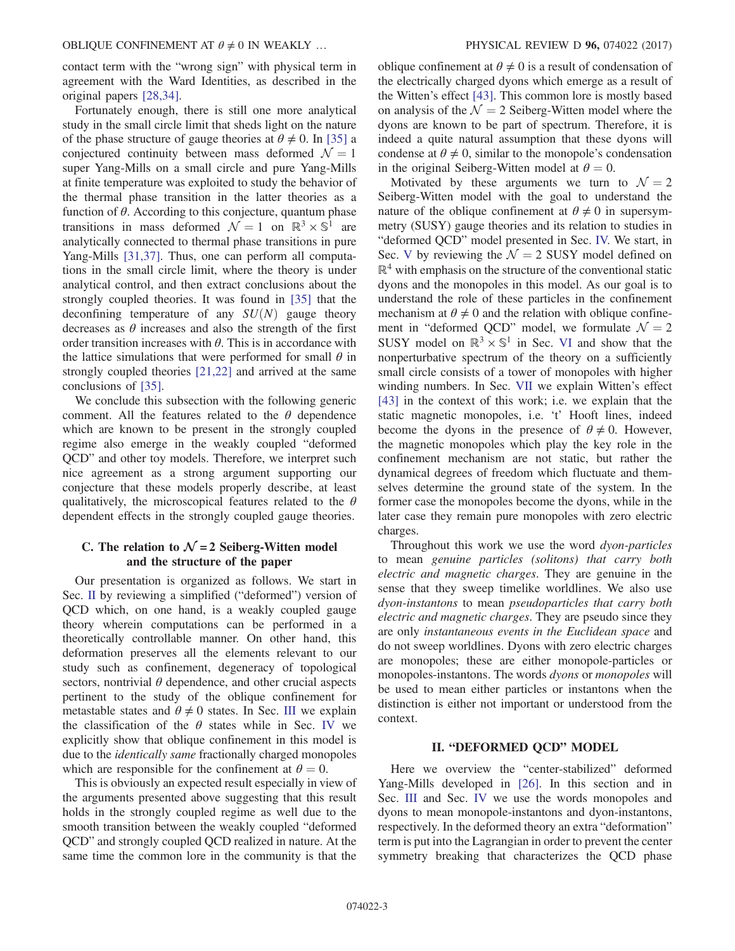contact term with the "wrong sign" with physical term in agreement with the Ward Identities, as described in the original papers [\[28,34\].](#page-15-9)

Fortunately enough, there is still one more analytical study in the small circle limit that sheds light on the nature of the phase structure of gauge theories at  $\theta \neq 0$ . In [\[35\]](#page-15-13) a conjectured continuity between mass deformed  $\mathcal{N} = 1$ super Yang-Mills on a small circle and pure Yang-Mills at finite temperature was exploited to study the behavior of the thermal phase transition in the latter theories as a function of  $\theta$ . According to this conjecture, quantum phase transitions in mass deformed  $\mathcal{N} = 1$  on  $\mathbb{R}^3 \times \mathbb{S}^1$  are analytically connected to thermal phase transitions in pure Yang-Mills [\[31,37\]](#page-15-14). Thus, one can perform all computations in the small circle limit, where the theory is under analytical control, and then extract conclusions about the strongly coupled theories. It was found in [\[35\]](#page-15-13) that the deconfining temperature of any  $SU(N)$  gauge theory decreases as  $\theta$  increases and also the strength of the first order transition increases with  $\theta$ . This is in accordance with the lattice simulations that were performed for small  $\theta$  in strongly coupled theories [\[21,22\]](#page-15-5) and arrived at the same conclusions of [\[35\]](#page-15-13).

We conclude this subsection with the following generic comment. All the features related to the  $\theta$  dependence which are known to be present in the strongly coupled regime also emerge in the weakly coupled "deformed QCD" and other toy models. Therefore, we interpret such nice agreement as a strong argument supporting our conjecture that these models properly describe, at least qualitatively, the microscopical features related to the  $\theta$ dependent effects in the strongly coupled gauge theories.

## C. The relation to  $\mathcal{N}=2$  Seiberg-Witten model and the structure of the paper

Our presentation is organized as follows. We start in Sec. [II](#page-3-0) by reviewing a simplified ("deformed") version of QCD which, on one hand, is a weakly coupled gauge theory wherein computations can be performed in a theoretically controllable manner. On other hand, this deformation preserves all the elements relevant to our study such as confinement, degeneracy of topological sectors, nontrivial  $\theta$  dependence, and other crucial aspects pertinent to the study of the oblique confinement for metastable states and  $\theta \neq 0$  states. In Sec. [III](#page-5-0) we explain the classification of the  $\theta$  states while in Sec. [IV](#page-6-0) we explicitly show that oblique confinement in this model is due to the *identically same* fractionally charged monopoles which are responsible for the confinement at  $\theta = 0$ .

This is obviously an expected result especially in view of the arguments presented above suggesting that this result holds in the strongly coupled regime as well due to the smooth transition between the weakly coupled "deformed QCD" and strongly coupled QCD realized in nature. At the same time the common lore in the community is that the

oblique confinement at  $\theta \neq 0$  is a result of condensation of the electrically charged dyons which emerge as a result of the Witten's effect [\[43\]](#page-15-15). This common lore is mostly based on analysis of the  $\mathcal{N} = 2$  Seiberg-Witten model where the dyons are known to be part of spectrum. Therefore, it is indeed a quite natural assumption that these dyons will condense at  $\theta \neq 0$ , similar to the monopole's condensation in the original Seiberg-Witten model at  $\theta = 0$ .

Motivated by these arguments we turn to  $\mathcal{N} = 2$ Seiberg-Witten model with the goal to understand the nature of the oblique confinement at  $\theta \neq 0$  in supersymmetry (SUSY) gauge theories and its relation to studies in "deformed QCD" model presented in Sec. [IV.](#page-6-0) We start, in Sec. [V](#page-7-0) by reviewing the  $\mathcal{N} = 2$  SUSY model defined on  $\mathbb{R}^4$  with emphasis on the structure of the conventional static dyons and the monopoles in this model. As our goal is to understand the role of these particles in the confinement mechanism at  $\theta \neq 0$  and the relation with oblique confinement in "deformed QCD" model, we formulate  $\mathcal{N} = 2$ SUSY model on  $\mathbb{R}^3 \times \mathbb{S}^1$  in Sec. [VI](#page-9-0) and show that the nonperturbative spectrum of the theory on a sufficiently small circle consists of a tower of monopoles with higher winding numbers. In Sec. [VII](#page-13-0) we explain Witten's effect [\[43\]](#page-15-15) in the context of this work; i.e. we explain that the static magnetic monopoles, i.e. 't' Hooft lines, indeed become the dyons in the presence of  $\theta \neq 0$ . However, the magnetic monopoles which play the key role in the confinement mechanism are not static, but rather the dynamical degrees of freedom which fluctuate and themselves determine the ground state of the system. In the former case the monopoles become the dyons, while in the later case they remain pure monopoles with zero electric charges.

Throughout this work we use the word dyon-particles to mean genuine particles (solitons) that carry both electric and magnetic charges. They are genuine in the sense that they sweep timelike worldlines. We also use dyon-instantons to mean pseudoparticles that carry both electric and magnetic charges. They are pseudo since they are only instantaneous events in the Euclidean space and do not sweep worldlines. Dyons with zero electric charges are monopoles; these are either monopole-particles or monopoles-instantons. The words dyons or monopoles will be used to mean either particles or instantons when the distinction is either not important or understood from the context.

#### II. "DEFORMED QCD" MODEL

<span id="page-3-0"></span>Here we overview the "center-stabilized" deformed Yang-Mills developed in [\[26\]](#page-15-7). In this section and in Sec. [III](#page-5-0) and Sec. [IV](#page-6-0) we use the words monopoles and dyons to mean monopole-instantons and dyon-instantons, respectively. In the deformed theory an extra "deformation" term is put into the Lagrangian in order to prevent the center symmetry breaking that characterizes the QCD phase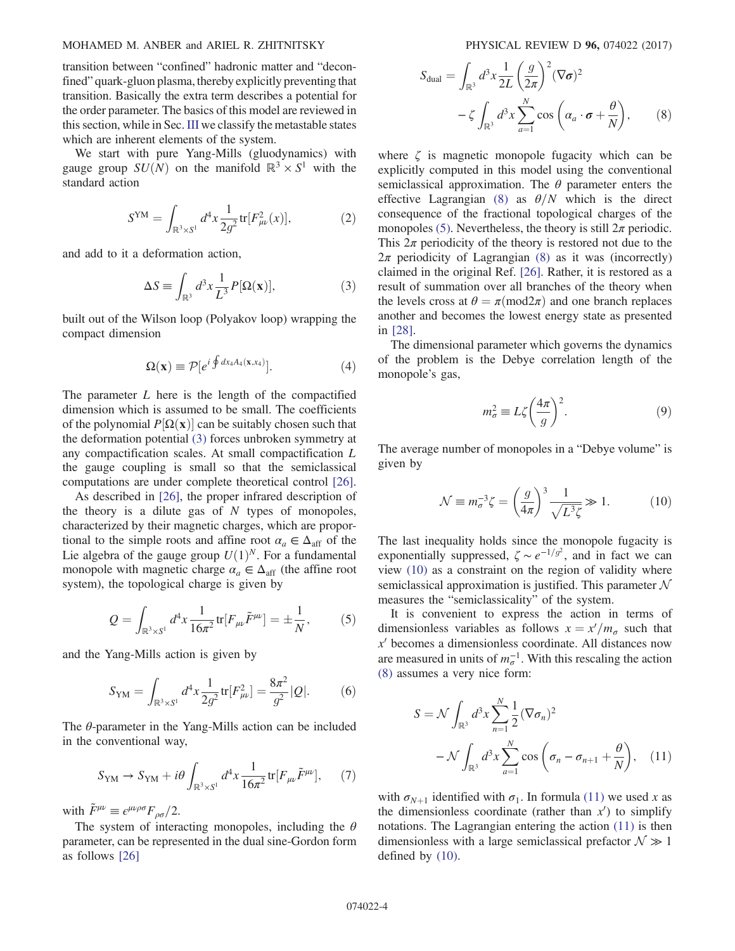transition between "confined" hadronic matter and "deconfined" quark-gluon plasma, thereby explicitly preventing that transition. Basically the extra term describes a potential for the order parameter. The basics of this model are reviewed in this section, while in Sec. [III](#page-5-0) we classify the metastable states which are inherent elements of the system.

We start with pure Yang-Mills (gluodynamics) with gauge group  $SU(N)$  on the manifold  $\mathbb{R}^3 \times S^1$  with the standard action

$$
S^{YM} = \int_{\mathbb{R}^3 \times S^1} d^4x \frac{1}{2g^2} \text{tr}[F_{\mu\nu}^2(x)], \tag{2}
$$

<span id="page-4-0"></span>and add to it a deformation action,

$$
\Delta S \equiv \int_{\mathbb{R}^3} d^3 x \frac{1}{L^3} P[\Omega(\mathbf{x})],\tag{3}
$$

built out of the Wilson loop (Polyakov loop) wrapping the compact dimension

$$
\Omega(\mathbf{x}) \equiv \mathcal{P}[e^{i \oint dx_4 A_4(\mathbf{x}, x_4)}]. \tag{4}
$$

The parameter  $L$  here is the length of the compactified dimension which is assumed to be small. The coefficients of the polynomial  $P[\Omega(\mathbf{x})]$  can be suitably chosen such that the deformation potential [\(3\)](#page-4-0) forces unbroken symmetry at any compactification scales. At small compactification L the gauge coupling is small so that the semiclassical computations are under complete theoretical control [\[26\]](#page-15-7).

As described in [\[26\],](#page-15-7) the proper infrared description of the theory is a dilute gas of  $N$  types of monopoles, characterized by their magnetic charges, which are proportional to the simple roots and affine root  $\alpha_a \in \Delta_{\text{aff}}$  of the Lie algebra of the gauge group  $U(1)^N$ . For a fundamental monopole with magnetic charge  $\alpha_a \in \Delta_{\text{aff}}$  (the affine root system), the topological charge is given by

<span id="page-4-2"></span>
$$
Q = \int_{\mathbb{R}^3 \times S^1} d^4x \frac{1}{16\pi^2} \text{tr}[F_{\mu\nu}\tilde{F}^{\mu\nu}] = \pm \frac{1}{N},\qquad (5)
$$

and the Yang-Mills action is given by

$$
S_{\rm YM} = \int_{\mathbb{R}^3 \times S^1} d^4x \frac{1}{2g^2} \text{tr}[F_{\mu\nu}^2] = \frac{8\pi^2}{g^2} |Q|.
$$
 (6)

The  $\theta$ -parameter in the Yang-Mills action can be included in the conventional way,

$$
S_{\text{YM}} \to S_{\text{YM}} + i\theta \int_{\mathbb{R}^3 \times S^1} d^4x \frac{1}{16\pi^2} \text{tr}[F_{\mu\nu}\tilde{F}^{\mu\nu}], \qquad (7)
$$

with  $\tilde{F}^{\mu\nu} \equiv \epsilon^{\mu\nu\rho\sigma} F_{\rho\sigma}/2.$ 

<span id="page-4-1"></span>The system of interacting monopoles, including the  $\theta$ parameter, can be represented in the dual sine-Gordon form as follows [\[26\]](#page-15-7)

$$
S_{\text{dual}} = \int_{\mathbb{R}^3} d^3x \frac{1}{2L} \left(\frac{g}{2\pi}\right)^2 (\nabla \sigma)^2
$$

$$
-\zeta \int_{\mathbb{R}^3} d^3x \sum_{a=1}^N \cos\left(\alpha_a \cdot \sigma + \frac{\theta}{N}\right), \qquad (8)
$$

where  $\zeta$  is magnetic monopole fugacity which can be explicitly computed in this model using the conventional semiclassical approximation. The  $\theta$  parameter enters the effective Lagrangian [\(8\)](#page-4-1) as  $\theta/N$  which is the direct consequence of the fractional topological charges of the monopoles [\(5\)](#page-4-2). Nevertheless, the theory is still  $2\pi$  periodic. This  $2\pi$  periodicity of the theory is restored not due to the  $2\pi$  periodicity of Lagrangian [\(8\)](#page-4-1) as it was (incorrectly) claimed in the original Ref. [\[26\]](#page-15-7). Rather, it is restored as a result of summation over all branches of the theory when the levels cross at  $\theta = \pi \pmod{2\pi}$  and one branch replaces another and becomes the lowest energy state as presented in [\[28\]](#page-15-9).

The dimensional parameter which governs the dynamics of the problem is the Debye correlation length of the monopole's gas,

$$
m_{\sigma}^2 \equiv L\zeta \left(\frac{4\pi}{g}\right)^2. \tag{9}
$$

<span id="page-4-3"></span>The average number of monopoles in a "Debye volume" is given by

$$
\mathcal{N} \equiv m_{\sigma}^{-3} \zeta = \left(\frac{g}{4\pi}\right)^3 \frac{1}{\sqrt{L^3 \zeta}} \gg 1. \tag{10}
$$

The last inequality holds since the monopole fugacity is exponentially suppressed,  $\zeta \sim e^{-1/g^2}$ , and in fact we can view [\(10\)](#page-4-3) as a constraint on the region of validity where semiclassical approximation is justified. This parameter  $\mathcal N$ measures the "semiclassicality" of the system.

<span id="page-4-4"></span>It is convenient to express the action in terms of dimensionless variables as follows  $x = x'/m_\sigma$  such that  $x'$  becomes a dimensionless coordinate. All distances now are measured in units of  $m_{\sigma}^{-1}$ . With this rescaling the action [\(8\)](#page-4-1) assumes a very nice form:

$$
S = \mathcal{N} \int_{\mathbb{R}^3} d^3x \sum_{n=1}^N \frac{1}{2} (\nabla \sigma_n)^2
$$

$$
- \mathcal{N} \int_{\mathbb{R}^3} d^3x \sum_{a=1}^N \cos \left( \sigma_n - \sigma_{n+1} + \frac{\theta}{N} \right), \quad (11)
$$

with  $\sigma_{N+1}$  identified with  $\sigma_1$ . In formula [\(11\)](#page-4-4) we used x as the dimensionless coordinate (rather than  $x'$ ) to simplify notations. The Lagrangian entering the action [\(11\)](#page-4-4) is then dimensionless with a large semiclassical prefactor  $\mathcal{N} \gg 1$ defined by [\(10\)](#page-4-3).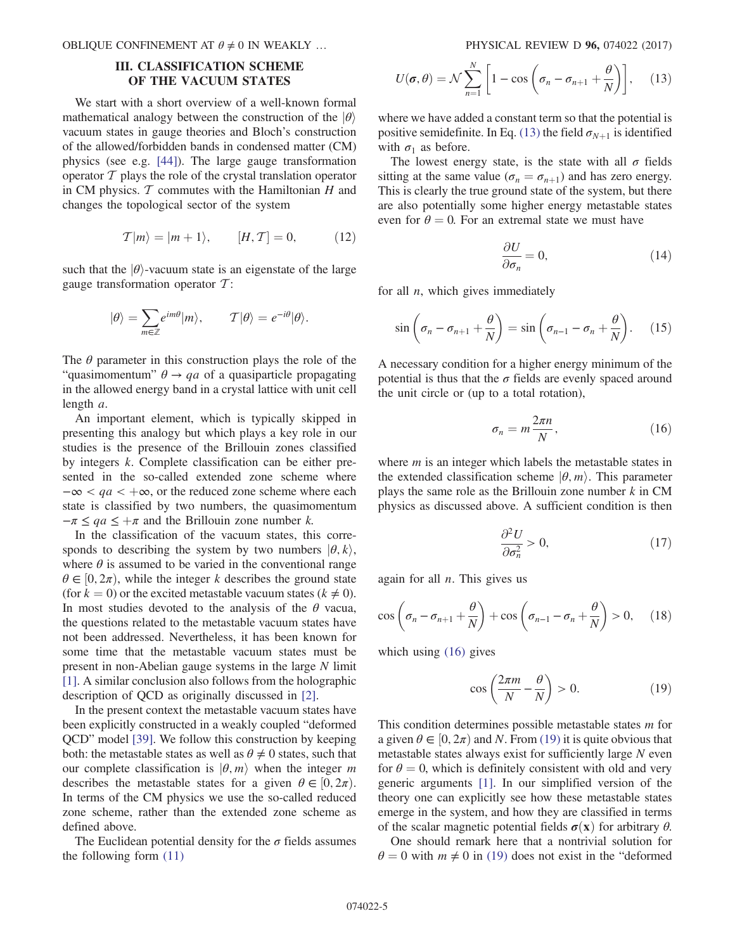<span id="page-5-0"></span>OBLIQUE CONFINEMENT AT  $\theta \neq 0$  IN WEAKLY ... PHYSICAL REVIEW D **96**, 074022 (2017)

### III. CLASSIFICATION SCHEME OF THE VACUUM STATES

We start with a short overview of a well-known formal mathematical analogy between the construction of the  $|\theta\rangle$ vacuum states in gauge theories and Bloch's construction of the allowed/forbidden bands in condensed matter (CM) physics (see e.g. [\[44\]\)](#page-15-16). The large gauge transformation operator  $T$  plays the role of the crystal translation operator in CM physics.  $T$  commutes with the Hamiltonian  $H$  and changes the topological sector of the system

$$
\mathcal{T}|m\rangle = |m+1\rangle, \qquad [H,\mathcal{T}] = 0, \tag{12}
$$

such that the  $|\theta\rangle$ -vacuum state is an eigenstate of the large gauge transformation operator  $\mathcal{T}$ :

$$
|\theta\rangle = \sum_{m\in\mathbb{Z}} e^{im\theta} |m\rangle, \qquad \mathcal{T}|\theta\rangle = e^{-i\theta}|\theta\rangle.
$$

The  $\theta$  parameter in this construction plays the role of the "quasimomentum"  $\theta \rightarrow qa$  of a quasiparticle propagating in the allowed energy band in a crystal lattice with unit cell length a.

An important element, which is typically skipped in presenting this analogy but which plays a key role in our studies is the presence of the Brillouin zones classified by integers k. Complete classification can be either presented in the so-called extended zone scheme where  $-\infty < qa < +\infty$ , or the reduced zone scheme where each state is classified by two numbers, the quasimomentum  $-\pi \le qa \le +\pi$  and the Brillouin zone number k.

In the classification of the vacuum states, this corresponds to describing the system by two numbers  $(\theta, k)$ , where  $\theta$  is assumed to be varied in the conventional range  $\theta \in [0, 2\pi)$ , while the integer k describes the ground state (for  $k = 0$ ) or the excited metastable vacuum states ( $k \neq 0$ ). In most studies devoted to the analysis of the  $\theta$  vacua, the questions related to the metastable vacuum states have not been addressed. Nevertheless, it has been known for some time that the metastable vacuum states must be present in non-Abelian gauge systems in the large N limit [\[1\]](#page-15-0). A similar conclusion also follows from the holographic description of QCD as originally discussed in [\[2\]](#page-15-1).

In the present context the metastable vacuum states have been explicitly constructed in a weakly coupled "deformed QCD" model [\[39\]](#page-15-17). We follow this construction by keeping both: the metastable states as well as  $\theta \neq 0$  states, such that our complete classification is  $|\theta, m\rangle$  when the integer m describes the metastable states for a given  $\theta \in [0, 2\pi)$ . In terms of the CM physics we use the so-called reduced zone scheme, rather than the extended zone scheme as defined above.

<span id="page-5-1"></span>The Euclidean potential density for the  $\sigma$  fields assumes the following form [\(11\)](#page-4-4)

$$
U(\boldsymbol{\sigma}, \theta) = \mathcal{N} \sum_{n=1}^{N} \left[ 1 - \cos \left( \sigma_n - \sigma_{n+1} + \frac{\theta}{N} \right) \right], \quad (13)
$$

where we have added a constant term so that the potential is positive semidefinite. In Eq. [\(13\)](#page-5-1) the field  $\sigma_{N+1}$  is identified with  $\sigma_1$  as before.

The lowest energy state, is the state with all  $\sigma$  fields sitting at the same value ( $\sigma_n = \sigma_{n+1}$ ) and has zero energy. This is clearly the true ground state of the system, but there are also potentially some higher energy metastable states even for  $\theta = 0$ . For an extremal state we must have

$$
\frac{\partial U}{\partial \sigma_n} = 0,\tag{14}
$$

for all  $n$ , which gives immediately

$$
\sin\left(\sigma_n - \sigma_{n+1} + \frac{\theta}{N}\right) = \sin\left(\sigma_{n-1} - \sigma_n + \frac{\theta}{N}\right). \tag{15}
$$

<span id="page-5-2"></span>A necessary condition for a higher energy minimum of the potential is thus that the  $\sigma$  fields are evenly spaced around the unit circle or (up to a total rotation),

$$
\sigma_n = m \frac{2\pi n}{N},\tag{16}
$$

where  $m$  is an integer which labels the metastable states in the extended classification scheme  $|\theta, m\rangle$ . This parameter plays the same role as the Brillouin zone number  $k$  in CM physics as discussed above. A sufficient condition is then

$$
\frac{\partial^2 U}{\partial \sigma_n^2} > 0,\tag{17}
$$

again for all  $n$ . This gives us

$$
\cos\left(\sigma_n - \sigma_{n+1} + \frac{\theta}{N}\right) + \cos\left(\sigma_{n-1} - \sigma_n + \frac{\theta}{N}\right) > 0, \quad (18)
$$

<span id="page-5-3"></span>which using  $(16)$  gives

$$
\cos\left(\frac{2\pi m}{N} - \frac{\theta}{N}\right) > 0. \tag{19}
$$

This condition determines possible metastable states m for a given  $\theta \in [0, 2\pi)$  and N. From [\(19\)](#page-5-3) it is quite obvious that metastable states always exist for sufficiently large  $N$  even for  $\theta = 0$ , which is definitely consistent with old and very generic arguments [\[1\].](#page-15-0) In our simplified version of the theory one can explicitly see how these metastable states emerge in the system, and how they are classified in terms of the scalar magnetic potential fields  $\sigma(\mathbf{x})$  for arbitrary  $\theta$ .

One should remark here that a nontrivial solution for  $\theta = 0$  with  $m \neq 0$  in [\(19\)](#page-5-3) does not exist in the "deformed"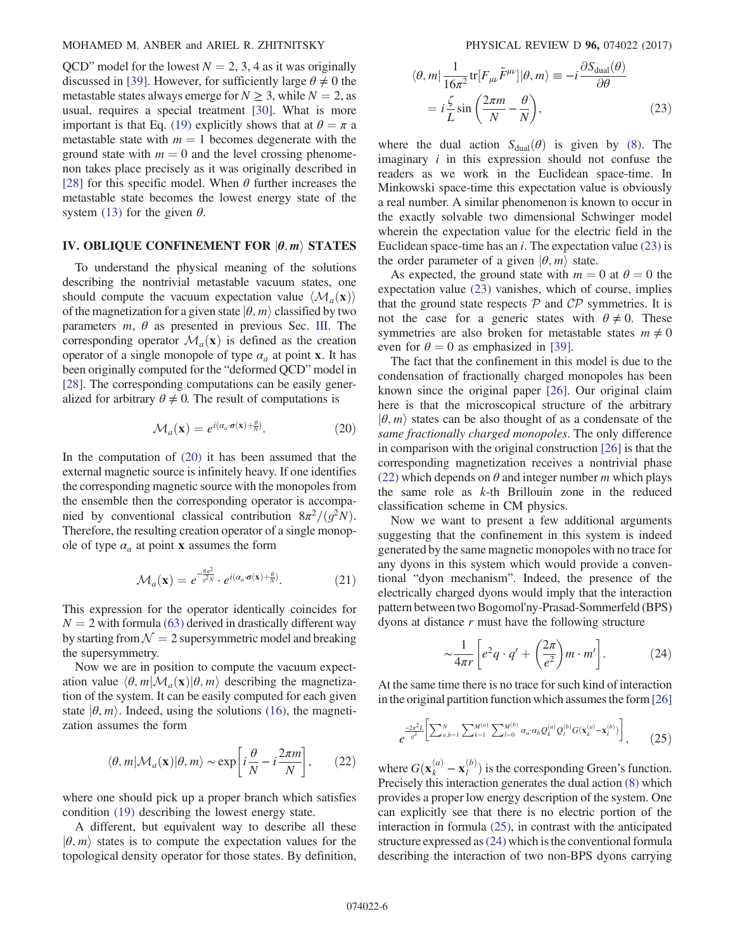QCD" model for the lowest  $N = 2, 3, 4$  as it was originally discussed in [\[39\].](#page-15-17) However, for sufficiently large  $\theta \neq 0$  the metastable states always emerge for  $N \geq 3$ , while  $N = 2$ , as usual, requires a special treatment [\[30\]](#page-15-18). What is more important is that Eq. [\(19\)](#page-5-3) explicitly shows that at  $\theta = \pi$  a metastable state with  $m = 1$  becomes degenerate with the ground state with  $m = 0$  and the level crossing phenomenon takes place precisely as it was originally described in [\[28\]](#page-15-9) for this specific model. When  $\theta$  further increases the metastable state becomes the lowest energy state of the system [\(13\)](#page-5-1) for the given  $\theta$ .

#### <span id="page-6-0"></span>IV. OBLIQUE CONFINEMENT FOR  $\vert \theta, m \rangle$  STATES

To understand the physical meaning of the solutions describing the nontrivial metastable vacuum states, one should compute the vacuum expectation value  $\langle \mathcal{M}_a(\mathbf{x}) \rangle$ of the magnetization for a given state  $|\theta, m\rangle$  classified by two parameters  $m$ ,  $\theta$  as presented in previous Sec. [III](#page-5-0). The corresponding operator  $\mathcal{M}_a(\mathbf{x})$  is defined as the creation operator of a single monopole of type  $\alpha_a$  at point **x**. It has been originally computed for the "deformed QCD" model in [\[28\]](#page-15-9). The corresponding computations can be easily generalized for arbitrary  $\theta \neq 0$ . The result of computations is

$$
\mathcal{M}_a(\mathbf{x}) = e^{i(\alpha_a \cdot \boldsymbol{\sigma}(\mathbf{x}) + \frac{\theta}{N})}.
$$
 (20)

<span id="page-6-6"></span><span id="page-6-1"></span>In the computation of [\(20\)](#page-6-1) it has been assumed that the external magnetic source is infinitely heavy. If one identifies the corresponding magnetic source with the monopoles from the ensemble then the corresponding operator is accompanied by conventional classical contribution  $8\pi^2/(q^2N)$ . Therefore, the resulting creation operator of a single monopole of type  $\alpha_a$  at point **x** assumes the form

$$
\mathcal{M}_a(\mathbf{x}) = e^{-\frac{8\pi^2}{g^2 N}} \cdot e^{i(\alpha_a \cdot \sigma(\mathbf{x}) + \frac{\theta}{N})}.
$$
 (21)

This expression for the operator identically coincides for  $N = 2$  with formula [\(63\)](#page-13-1) derived in drastically different way by starting from  $\mathcal{N} = 2$  supersymmetric model and breaking the supersymmetry.

<span id="page-6-3"></span>Now we are in position to compute the vacuum expectation value  $\langle \theta, m | \mathcal{M}_a(\mathbf{x}) | \theta, m \rangle$  describing the magnetization of the system. It can be easily computed for each given state  $|\theta, m\rangle$ . Indeed, using the solutions [\(16\),](#page-5-2) the magnetization assumes the form

$$
\langle \theta, m | \mathcal{M}_a(\mathbf{x}) | \theta, m \rangle \sim \exp\left[ i \frac{\theta}{N} - i \frac{2\pi m}{N} \right], \qquad (22)
$$

where one should pick up a proper branch which satisfies condition [\(19\)](#page-5-3) describing the lowest energy state.

<span id="page-6-2"></span>A different, but equivalent way to describe all these  $\vert \theta, m \rangle$  states is to compute the expectation values for the topological density operator for those states. By definition,

$$
\langle \theta, m | \frac{1}{16\pi^2} \text{tr}[F_{\mu\nu} \tilde{F}^{\mu\nu}] | \theta, m \rangle \equiv -i \frac{\partial S_{\text{dual}}(\theta)}{\partial \theta}
$$

$$
= i \frac{\zeta}{L} \sin \left( \frac{2\pi m}{N} - \frac{\theta}{N} \right), \tag{23}
$$

where the dual action  $S_{dual}(\theta)$  is given by [\(8\).](#page-4-1) The imaginary  $i$  in this expression should not confuse the readers as we work in the Euclidean space-time. In Minkowski space-time this expectation value is obviously a real number. A similar phenomenon is known to occur in the exactly solvable two dimensional Schwinger model wherein the expectation value for the electric field in the Euclidean space-time has an  $i$ . The expectation value [\(23\)](#page-6-2) is the order parameter of a given  $|\theta, m\rangle$  state.

As expected, the ground state with  $m = 0$  at  $\theta = 0$  the expectation value [\(23\)](#page-6-2) vanishes, which of course, implies that the ground state respects  $P$  and  $\mathcal{CP}$  symmetries. It is not the case for a generic states with  $\theta \neq 0$ . These symmetries are also broken for metastable states  $m \neq 0$ even for  $\theta = 0$  as emphasized in [\[39\].](#page-15-17)

The fact that the confinement in this model is due to the condensation of fractionally charged monopoles has been known since the original paper [\[26\]](#page-15-7). Our original claim here is that the microscopical structure of the arbitrary  $\ket{\theta, m}$  states can be also thought of as a condensate of the same fractionally charged monopoles. The only difference in comparison with the original construction [\[26\]](#page-15-7) is that the corresponding magnetization receives a nontrivial phase [\(22\)](#page-6-3) which depends on  $\theta$  and integer number m which plays the same role as k-th Brillouin zone in the reduced classification scheme in CM physics.

Now we want to present a few additional arguments suggesting that the confinement in this system is indeed generated by the same magnetic monopoles with no trace for any dyons in this system which would provide a conventional "dyon mechanism". Indeed, the presence of the electrically charged dyons would imply that the interaction pattern between two Bogomol'ny-Prasad-Sommerfeld (BPS) dyons at distance  $r$  must have the following structure

$$
\sim \frac{1}{4\pi r} \left[ e^2 q \cdot q' + \left( \frac{2\pi}{e^2} \right) m \cdot m' \right]. \tag{24}
$$

<span id="page-6-5"></span><span id="page-6-4"></span>At the same time there is no trace for such kind of interaction in the original partition function which assumes the form[\[26\]](#page-15-7)

$$
e^{\frac{-2\pi^2 L}{g^2} \left[ \sum_{a,b=1}^N \sum_{k=1}^{M^{(a)}} \sum_{l=0}^{M^{(b)}} \alpha_a \cdot \alpha_b Q_k^{(a)} Q_l^{(b)} G(\mathbf{x}_k^{(a)} - \mathbf{x}_l^{(b)}) \right]}, \qquad (25)
$$

where  $G(\mathbf{x}_k^{(a)} - \mathbf{x}_l^{(b)})$  is the corresponding Green's function. Precisely this interaction generates the dual action [\(8\)](#page-4-1) which provides a proper low energy description of the system. One can explicitly see that there is no electric portion of the interaction in formula [\(25\),](#page-6-4) in contrast with the anticipated structure expressed as  $(24)$  which is the conventional formula describing the interaction of two non-BPS dyons carrying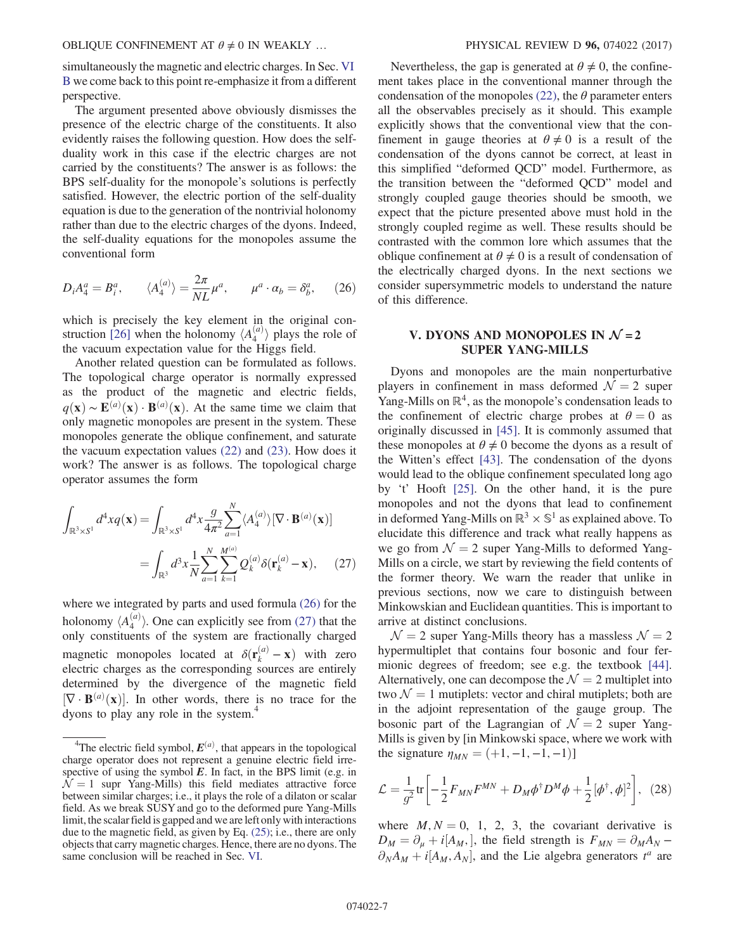simultaneously the magnetic and electric charges. In Sec. [VI](#page-10-0) [B](#page-10-0) we come back to this point re-emphasize it from a different perspective.

The argument presented above obviously dismisses the presence of the electric charge of the constituents. It also evidently raises the following question. How does the selfduality work in this case if the electric charges are not carried by the constituents? The answer is as follows: the BPS self-duality for the monopole's solutions is perfectly satisfied. However, the electric portion of the self-duality equation is due to the generation of the nontrivial holonomy rather than due to the electric charges of the dyons. Indeed, the self-duality equations for the monopoles assume the conventional form

<span id="page-7-1"></span>
$$
D_i A_4^a = B_i^a, \qquad \langle A_4^{(a)} \rangle = \frac{2\pi}{NL} \mu^a, \qquad \mu^a \cdot \alpha_b = \delta_b^a, \qquad (26)
$$

which is precisely the key element in the original con-struction [\[26\]](#page-15-7) when the holonomy  $\langle A_4^{(a)} \rangle$  plays the role of the vacuum expectation value for the Higgs field.

Another related question can be formulated as follows. The topological charge operator is normally expressed as the product of the magnetic and electric fields,  $q(\mathbf{x}) \sim \mathbf{E}^{(a)}(\mathbf{x}) \cdot \mathbf{B}^{(a)}(\mathbf{x})$ . At the same time we claim that only magnetic monopoles are present in the system. These monopoles generate the oblique confinement, and saturate the vacuum expectation values [\(22\)](#page-6-3) and [\(23\).](#page-6-2) How does it work? The answer is as follows. The topological charge operator assumes the form

<span id="page-7-2"></span>
$$
\int_{\mathbb{R}^3 \times S^1} d^4x q(\mathbf{x}) = \int_{\mathbb{R}^3 \times S^1} d^4x \frac{g}{4\pi^2} \sum_{a=1}^N \langle A_4^{(a)} \rangle [\nabla \cdot \mathbf{B}^{(a)}(\mathbf{x})]
$$

$$
= \int_{\mathbb{R}^3} d^3x \frac{1}{N} \sum_{a=1}^N \sum_{k=1}^{M^{(a)}} Q_k^{(a)} \delta(\mathbf{r}_k^{(a)} - \mathbf{x}), \quad (27)
$$

where we integrated by parts and used formula [\(26\)](#page-7-1) for the holonomy  $\langle A_4^{(a)} \rangle$ . One can explicitly see from [\(27\)](#page-7-2) that the only constituents of the system are fractionally charged magnetic monopoles located at  $\delta(\mathbf{r}_k^{(a)} - \mathbf{x})$  with zero electric charges as the corresponding sources are entirely determined by the divergence of the magnetic field  $[\nabla \cdot \mathbf{B}^{(a)}(\mathbf{x})]$ . In other words, there is no trace for the dyons to play any role in the system.<sup>4</sup>

Nevertheless, the gap is generated at  $\theta \neq 0$ , the confinement takes place in the conventional manner through the condensation of the monopoles [\(22\),](#page-6-3) the  $\theta$  parameter enters all the observables precisely as it should. This example explicitly shows that the conventional view that the confinement in gauge theories at  $\theta \neq 0$  is a result of the condensation of the dyons cannot be correct, at least in this simplified "deformed QCD" model. Furthermore, as the transition between the "deformed QCD" model and strongly coupled gauge theories should be smooth, we expect that the picture presented above must hold in the strongly coupled regime as well. These results should be contrasted with the common lore which assumes that the oblique confinement at  $\theta \neq 0$  is a result of condensation of the electrically charged dyons. In the next sections we consider supersymmetric models to understand the nature of this difference.

### <span id="page-7-0"></span>V. DYONS AND MONOPOLES IN  $\mathcal{N}=2$ SUPER YANG-MILLS

Dyons and monopoles are the main nonperturbative players in confinement in mass deformed  $\mathcal{N} = 2$  super Yang-Mills on  $\mathbb{R}^4$ , as the monopole's condensation leads to the confinement of electric charge probes at  $\theta = 0$  as originally discussed in [\[45\].](#page-15-19) It is commonly assumed that these monopoles at  $\theta \neq 0$  become the dyons as a result of the Witten's effect [\[43\].](#page-15-15) The condensation of the dyons would lead to the oblique confinement speculated long ago by 't' Hooft [\[25\].](#page-15-6) On the other hand, it is the pure monopoles and not the dyons that lead to confinement in deformed Yang-Mills on  $\mathbb{R}^3 \times \mathbb{S}^1$  as explained above. To elucidate this difference and track what really happens as we go from  $\mathcal{N} = 2$  super Yang-Mills to deformed Yang-Mills on a circle, we start by reviewing the field contents of the former theory. We warn the reader that unlike in previous sections, now we care to distinguish between Minkowskian and Euclidean quantities. This is important to arrive at distinct conclusions.

 $\mathcal{N} = 2$  super Yang-Mills theory has a massless  $\mathcal{N} = 2$ hypermultiplet that contains four bosonic and four fermionic degrees of freedom; see e.g. the textbook [\[44\]](#page-15-16). Alternatively, one can decompose the  $\mathcal{N} = 2$  multiplet into two  $\mathcal{N} = 1$  mutiplets: vector and chiral mutiplets; both are in the adjoint representation of the gauge group. The bosonic part of the Lagrangian of  $\mathcal{N} = 2$  super Yang-Mills is given by [in Minkowski space, where we work with the signature  $\eta_{MN} = (+1, -1, -1, -1)$ 

$$
\mathcal{L} = \frac{1}{g^2} \text{tr} \left[ -\frac{1}{2} F_{MN} F^{MN} + D_M \phi^{\dagger} D^M \phi + \frac{1}{2} [\phi^{\dagger}, \phi]^2 \right], \tag{28}
$$

where  $M, N = 0, 1, 2, 3$ , the covariant derivative is  $D_M = \partial_\mu + i[A_M,],$  the field strength is  $F_{MN} = \partial_M A_N - i[A_M,].$  $\partial_N A_M + i[A_M, A_N]$ , and the Lie algebra generators  $t^a$  are

<sup>&</sup>lt;sup>4</sup>The electric field symbol,  $E^{(a)}$ , that appears in the topological charge operator does not represent a genuine electric field irrespective of using the symbol  $E$ . In fact, in the BPS limit (e.g. in  $N = 1$  supr Yang-Mills) this field mediates attractive force between similar charges; i.e., it plays the role of a dilaton or scalar field. As we break SUSY and go to the deformed pure Yang-Mills limit, the scalar field is gapped and we are left only with interactions due to the magnetic field, as given by Eq. [\(25\);](#page-6-4) i.e., there are only objects that carry magnetic charges. Hence, there are no dyons. The same conclusion will be reached in Sec. [VI.](#page-9-0)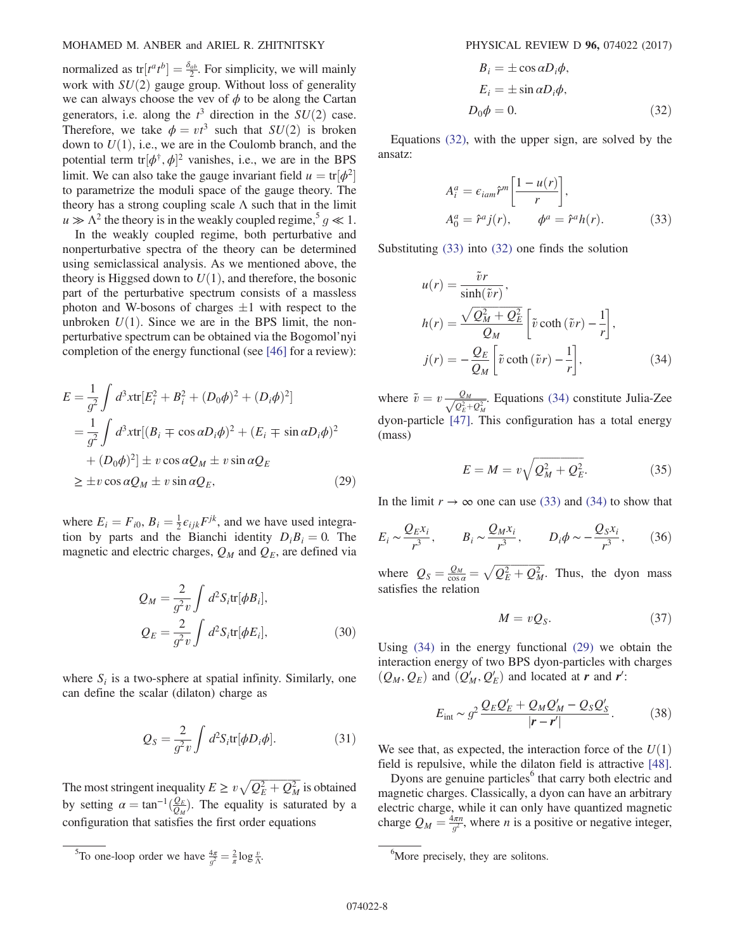normalized as  $tr[t^a t^b] = \frac{\delta_{ab}}{2}$ . For simplicity, we will mainly work with  $SU(2)$  gauge group. Without loss of generality we can always choose the vev of  $\phi$  to be along the Cartan generators, i.e. along the  $t^3$  direction in the  $SU(2)$  case. Therefore, we take  $\phi = vt^3$  such that  $SU(2)$  is broken down to  $U(1)$ , i.e., we are in the Coulomb branch, and the potential term  $tr[\phi^{\dagger}, \phi]^2$  vanishes, i.e., we are in the BPS limit. We can also take the gauge invariant field  $u = \text{tr}[\phi^2]$ to parametrize the moduli space of the gauge theory. The theory has a strong coupling scale  $\Lambda$  such that in the limit  $u \gg \Lambda^2$  the theory is in the weakly coupled regime,<sup>5</sup>  $g \ll 1$ .

In the weakly coupled regime, both perturbative and nonperturbative spectra of the theory can be determined using semiclassical analysis. As we mentioned above, the theory is Higgsed down to  $U(1)$ , and therefore, the bosonic part of the perturbative spectrum consists of a massless photon and W-bosons of charges  $\pm 1$  with respect to the unbroken  $U(1)$ . Since we are in the BPS limit, the nonperturbative spectrum can be obtained via the Bogomol'nyi completion of the energy functional (see [\[46\]](#page-15-20) for a review):

<span id="page-8-3"></span>
$$
E = \frac{1}{g^2} \int d^3x \text{tr}[E_i^2 + B_i^2 + (D_0 \phi)^2 + (D_i \phi)^2]
$$
  
= 
$$
\frac{1}{g^2} \int d^3x \text{tr}[(B_i \mp \cos \alpha D_i \phi)^2 + (E_i \mp \sin \alpha D_i \phi)^2
$$
  
+ 
$$
(D_0 \phi)^2] \pm v \cos \alpha Q_M \pm v \sin \alpha Q_E
$$
  

$$
\geq \pm v \cos \alpha Q_M \pm v \sin \alpha Q_E,
$$
 (29)

where  $E_i = F_{i0}$ ,  $B_i = \frac{1}{2} \epsilon_{ijk} F^{jk}$ , and we have used integration by parts and the Bianchi identity  $D_i B_i = 0$ . The magnetic and electric charges,  $Q_M$  and  $Q_E$ , are defined via

$$
Q_M = \frac{2}{g^2 v} \int d^2 S_i \text{tr}[\phi B_i],
$$
  
\n
$$
Q_E = \frac{2}{g^2 v} \int d^2 S_i \text{tr}[\phi E_i],
$$
\n(30)

where  $S_i$  is a two-sphere at spatial infinity. Similarly, one can define the scalar (dilaton) charge as

$$
Q_S = \frac{2}{g^2 v} \int d^2 S_i \text{tr}[\phi D_i \phi]. \tag{31}
$$

<span id="page-8-0"></span>The most stringent inequality  $E \geq v \sqrt{Q_E^2 + Q_M^2}$  is obtained by setting  $\alpha = \tan^{-1}(\frac{Q_E}{Q_M})$ . The equality is saturated by a configuration that satisfies the first order equations

<sup>5</sup>To one-loop order we have  $\frac{4\pi}{g^2} = \frac{2}{\pi} \log \frac{v}{\Lambda}$  $\frac{v}{\Lambda}$ . 6

$$
B_i = \pm \cos \alpha D_i \phi,
$$
  
\n
$$
E_i = \pm \sin \alpha D_i \phi,
$$
  
\n
$$
D_0 \phi = 0.
$$
\n(32)

<span id="page-8-1"></span>Equations [\(32\)](#page-8-0), with the upper sign, are solved by the ansatz:

$$
A_i^a = \epsilon_{iam} \hat{r}^m \left[ \frac{1 - u(r)}{r} \right],
$$
  
\n
$$
A_0^a = \hat{r}^a j(r), \qquad \phi^a = \hat{r}^a h(r).
$$
\n(33)

<span id="page-8-2"></span>Substituting [\(33\)](#page-8-1) into [\(32\)](#page-8-0) one finds the solution

$$
u(r) = \frac{\tilde{v}r}{\sinh(\tilde{v}r)},
$$
  
\n
$$
h(r) = \frac{\sqrt{Q_M^2 + Q_E^2}}{Q_M} \left[ \tilde{v} \coth(\tilde{v}r) - \frac{1}{r} \right],
$$
  
\n
$$
j(r) = -\frac{Q_E}{Q_M} \left[ \tilde{v} \coth(\tilde{v}r) - \frac{1}{r} \right],
$$
\n(34)

where  $\tilde{v} = v \frac{Q_M}{\sqrt{Q_E^2 + Q_M^2}}$  $\frac{Q_M}{\sqrt{Q_E^2 + Q_M^2}}$ . Equations [\(34\)](#page-8-2) constitute Julia-Zee dyon-particle [\[47\].](#page-15-21) This configuration has a total energy (mass)

$$
E = M = v\sqrt{Q_M^2 + Q_E^2}.
$$
 (35)

In the limit  $r \to \infty$  one can use [\(33\)](#page-8-1) and [\(34\)](#page-8-2) to show that

$$
E_i \sim \frac{Q_E x_i}{r^3}, \qquad B_i \sim \frac{Q_M x_i}{r^3}, \qquad D_i \phi \sim -\frac{Q_S x_i}{r^3}, \qquad (36)
$$

where  $Q_S = \frac{Q_M}{\cos \alpha} = \sqrt{Q_E^2 + Q_M^2}$ . Thus, the dyon mass satisfies the relation

$$
M = vQ_S. \t\t(37)
$$

<span id="page-8-4"></span>Using [\(34\)](#page-8-2) in the energy functional [\(29\)](#page-8-3) we obtain the interaction energy of two BPS dyon-particles with charges  $(Q_M, Q_E)$  and  $(Q'_M, Q'_E)$  and located at r and r':

$$
E_{\rm int} \sim g^2 \frac{Q_E Q_E' + Q_M Q_M' - Q_S Q_S'}{|r - r'|}. \tag{38}
$$

We see that, as expected, the interaction force of the  $U(1)$ field is repulsive, while the dilaton field is attractive [\[48\]](#page-15-22).

Dyons are genuine particles<sup>6</sup> that carry both electric and magnetic charges. Classically, a dyon can have an arbitrary electric charge, while it can only have quantized magnetic charge  $Q_M = \frac{4\pi n}{g^2}$ , where *n* is a positive or negative integer,

<sup>&</sup>lt;sup>6</sup>More precisely, they are solitons.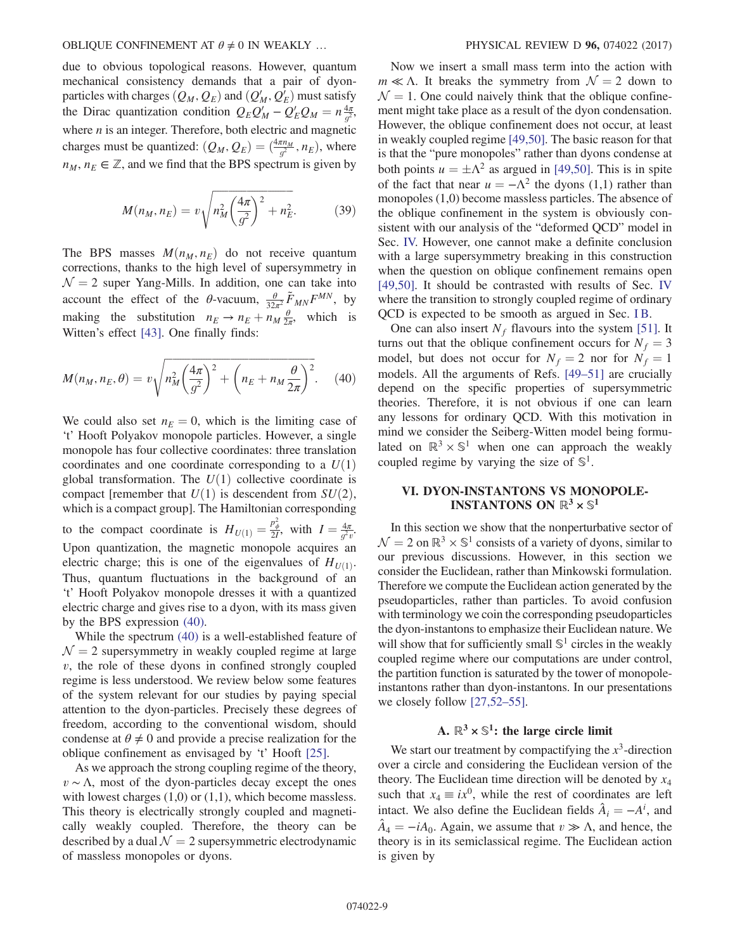### OBLIQUE CONFINEMENT AT  $\theta \neq 0$  IN WEAKLY ... PHYSICAL REVIEW D 96, 074022 (2017)

due to obvious topological reasons. However, quantum mechanical consistency demands that a pair of dyonparticles with charges  $(Q_M, Q_E)$  and  $(Q'_M, Q'_E)$  must satisfy the Dirac quantization condition  $Q_E Q_M - Q_E Q_M = n \frac{4\pi}{g^2}$ , where  $n$  is an integer. Therefore, both electric and magnetic charges must be quantized:  $(Q_M, Q_E) = \left(\frac{4\pi n_M}{g^2}, n_E\right)$ , where  $n_M$ ,  $n_E \in \mathbb{Z}$ , and we find that the BPS spectrum is given by

$$
M(n_M, n_E) = v \sqrt{n_M^2 \left(\frac{4\pi}{g^2}\right)^2 + n_E^2}.
$$
 (39)

The BPS masses  $M(n_M, n_E)$  do not receive quantum corrections, thanks to the high level of supersymmetry in  $\mathcal{N} = 2$  super Yang-Mills. In addition, one can take into account the effect of the  $\theta$ -vacuum,  $\frac{\theta}{32\pi^2} \tilde{F}_{MN} F^{MN}$ , by making the substitution  $n_E \rightarrow n_E + n_M \frac{\theta}{2\pi}$ , which is Witten's effect [\[43\]](#page-15-15). One finally finds:

<span id="page-9-1"></span>
$$
M(n_M, n_E, \theta) = v \sqrt{n_M^2 \left(\frac{4\pi}{g^2}\right)^2 + \left(n_E + n_M \frac{\theta}{2\pi}\right)^2}.
$$
 (40)

We could also set  $n_E = 0$ , which is the limiting case of 't' Hooft Polyakov monopole particles. However, a single monopole has four collective coordinates: three translation coordinates and one coordinate corresponding to a  $U(1)$ global transformation. The  $U(1)$  collective coordinate is compact [remember that  $U(1)$  is descendent from  $SU(2)$ , which is a compact group]. The Hamiltonian corresponding to the compact coordinate is  $H_{U(1)} = \frac{p_{\phi}^2}{2I}$ , with  $I = \frac{4\pi}{g^2 v}$ . Upon quantization, the magnetic monopole acquires an electric charge; this is one of the eigenvalues of  $H_{U(1)}$ . Thus, quantum fluctuations in the background of an 't' Hooft Polyakov monopole dresses it with a quantized electric charge and gives rise to a dyon, with its mass given by the BPS expression [\(40\).](#page-9-1)

While the spectrum [\(40\)](#page-9-1) is a well-established feature of  $\mathcal{N} = 2$  supersymmetry in weakly coupled regime at large  $v$ , the role of these dyons in confined strongly coupled regime is less understood. We review below some features of the system relevant for our studies by paying special attention to the dyon-particles. Precisely these degrees of freedom, according to the conventional wisdom, should condense at  $\theta \neq 0$  and provide a precise realization for the oblique confinement as envisaged by 't' Hooft [\[25\]](#page-15-6).

As we approach the strong coupling regime of the theory,  $v \sim \Lambda$ , most of the dyon-particles decay except the ones with lowest charges  $(1,0)$  or  $(1,1)$ , which become massless. This theory is electrically strongly coupled and magnetically weakly coupled. Therefore, the theory can be described by a dual  $\mathcal{N} = 2$  supersymmetric electrodynamic of massless monopoles or dyons.

Now we insert a small mass term into the action with  $m \ll \Lambda$ . It breaks the symmetry from  $\mathcal{N} = 2$  down to  $\mathcal{N} = 1$ . One could naively think that the oblique confinement might take place as a result of the dyon condensation. However, the oblique confinement does not occur, at least in weakly coupled regime [\[49,50\]](#page-15-23). The basic reason for that is that the "pure monopoles" rather than dyons condense at both points  $u = \pm \Lambda^2$  as argued in [\[49,50\]](#page-15-23). This is in spite of the fact that near  $u = -\Lambda^2$  the dyons (1,1) rather than monopoles (1,0) become massless particles. The absence of the oblique confinement in the system is obviously consistent with our analysis of the "deformed QCD" model in Sec. [IV.](#page-6-0) However, one cannot make a definite conclusion with a large supersymmetry breaking in this construction when the question on oblique confinement remains open [\[49,50\]](#page-15-23). It should be contrasted with results of Sec. [IV](#page-6-0) where the transition to strongly coupled regime of ordinary QCD is expected to be smooth as argued in Sec. [I B.](#page-2-1)

One can also insert  $N_f$  flavours into the system [\[51\].](#page-15-24) It turns out that the oblique confinement occurs for  $N_f = 3$ model, but does not occur for  $N_f = 2$  nor for  $N_f = 1$ models. All the arguments of Refs. [\[49](#page-15-23)–51] are crucially depend on the specific properties of supersymmetric theories. Therefore, it is not obvious if one can learn any lessons for ordinary QCD. With this motivation in mind we consider the Seiberg-Witten model being formulated on  $\mathbb{R}^3 \times \mathbb{S}^1$  when one can approach the weakly coupled regime by varying the size of  $\mathbb{S}^1$ .

## <span id="page-9-0"></span>VI. DYON-INSTANTONS VS MONOPOLE-**INSTANTONS ON**  $\mathbb{R}^3 \times \mathbb{S}^1$

In this section we show that the nonperturbative sector of  $\mathcal{N} = 2$  on  $\mathbb{R}^3 \times \mathbb{S}^1$  consists of a variety of dyons, similar to our previous discussions. However, in this section we consider the Euclidean, rather than Minkowski formulation. Therefore we compute the Euclidean action generated by the pseudoparticles, rather than particles. To avoid confusion with terminology we coin the corresponding pseudoparticles the dyon-instantons to emphasize their Euclidean nature. We will show that for sufficiently small  $\mathbb{S}^1$  circles in the weakly coupled regime where our computations are under control, the partition function is saturated by the tower of monopoleinstantons rather than dyon-instantons. In our presentations we closely follow [\[27,52](#page-15-25)–55].

## A.  $\mathbb{R}^3 \times \mathbb{S}^1$ : the large circle limit

We start our treatment by compactifying the  $x^3$ -direction over a circle and considering the Euclidean version of the theory. The Euclidean time direction will be denoted by  $x_4$ such that  $x_4 \equiv ix^0$ , while the rest of coordinates are left intact. We also define the Euclidean fields  $\hat{A}_i = -A^i$ , and  $\hat{A}_4 = -iA_0$ . Again, we assume that  $v \gg \Lambda$ , and hence, the theory is in its semiclassical regime. The Euclidean action is given by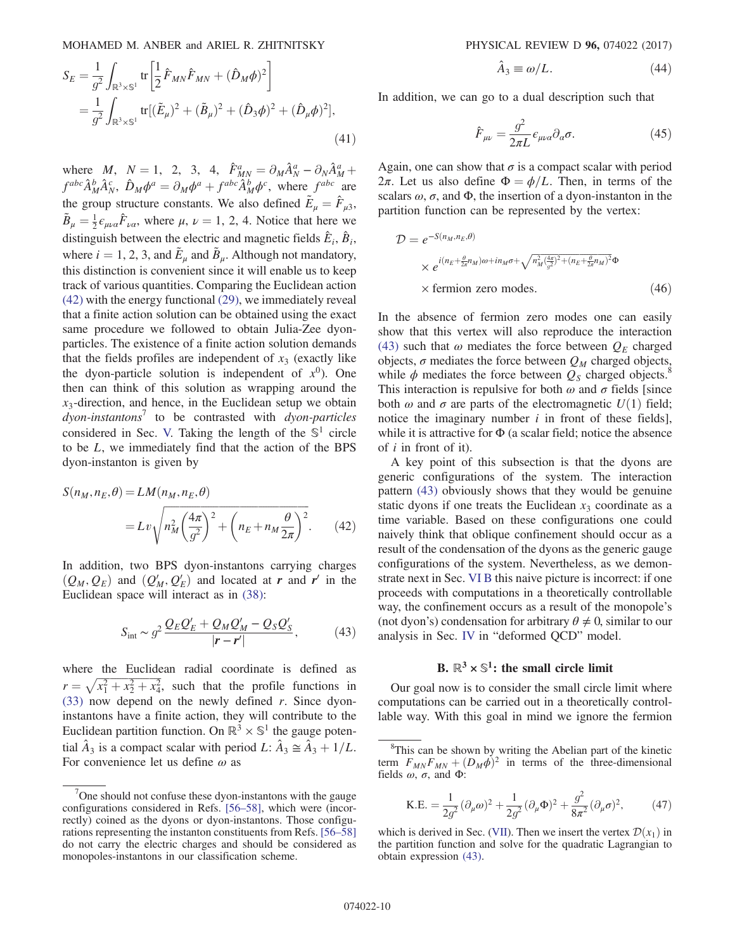$$
S_E = \frac{1}{g^2} \int_{\mathbb{R}^3 \times \mathbb{S}^1} \text{tr} \left[ \frac{1}{2} \hat{F}_{MN} \hat{F}_{MN} + (\hat{D}_M \phi)^2 \right]
$$
  
= 
$$
\frac{1}{g^2} \int_{\mathbb{R}^3 \times \mathbb{S}^1} \text{tr} [(\tilde{E}_\mu)^2 + (\tilde{B}_\mu)^2 + (\hat{D}_3 \phi)^2 + (\hat{D}_\mu \phi)^2],
$$
(41)

where *M*,  $N = 1$ , 2, 3, 4,  $\hat{F}_{MN}^a = \partial_M \hat{A}_N^a - \partial_N \hat{A}_M^a + f^{abc} \hat{A}_M^b \hat{A}_N^c$ ,  $\hat{D}_M \phi^a = \partial_M \phi^a + f^{abc} \hat{A}_M^b \phi^c$ , where  $f^{abc}$  are the group structure constants. We also defined  $\tilde{E}_{\mu} = \tilde{F}_{\mu 3}$ ,  $\tilde{B}_{\mu} = \frac{1}{2} \epsilon_{\mu\nu\alpha} \hat{F}_{\nu\alpha}$ , where  $\mu$ ,  $\nu = 1, 2, 4$ . Notice that here we distinguish between the electric and magnetic fields  $\hat{E}_i$ ,  $\hat{B}_i$ , where  $i = 1, 2, 3$ , and  $E_{\mu}$  and  $B_{\mu}$ . Although not mandatory, this distinction is convenient since it will enable us to keep track of various quantities. Comparing the Euclidean action [\(42\)](#page-10-1) with the energy functional [\(29\),](#page-8-3) we immediately reveal that a finite action solution can be obtained using the exact same procedure we followed to obtain Julia-Zee dyonparticles. The existence of a finite action solution demands that the fields profiles are independent of  $x_3$  (exactly like the dyon-particle solution is independent of  $x^0$ ). One then can think of this solution as wrapping around the  $x_3$ -direction, and hence, in the Euclidean setup we obtain  $dyon-instantons<sup>7</sup>$  to be contrasted with  $dyon-particles$ considered in Sec. [V.](#page-7-0) Taking the length of the  $\mathbb{S}^1$  circle to be L, we immediately find that the action of the BPS dyon-instanton is given by

<span id="page-10-1"></span>
$$
S(n_M, n_E, \theta) = LM(n_M, n_E, \theta)
$$
  
=  $L v \sqrt{n_M^2 \left(\frac{4\pi}{g^2}\right)^2 + \left(n_E + n_M \frac{\theta}{2\pi}\right)^2}$ . (42)

<span id="page-10-2"></span>In addition, two BPS dyon-instantons carrying charges  $(Q_M, Q_E)$  and  $(Q'_M, Q'_E)$  and located at r and r' in the Euclidean space will interact as in [\(38\)](#page-8-4):

$$
S_{\rm int} \sim g^2 \frac{Q_E Q_E' + Q_M Q_M' - Q_S Q_S'}{|r - r'|},\tag{43}
$$

where the Euclidean radial coordinate is defined as  $r = \sqrt{x_1^2 + x_2^2 + x_4^2}$ , such that the profile functions in  $(33)$  now depend on the newly defined r. Since dyoninstantons have a finite action, they will contribute to the Euclidean partition function. On  $\mathbb{R}^3 \times \mathbb{S}^1$  the gauge potential  $\hat{A}_3$  is a compact scalar with period L:  $\hat{A}_3 \cong \hat{A}_3 + 1/L$ . For convenience let us define  $\omega$  as

$$
\hat{A}_3 \equiv \omega / L. \tag{44}
$$

<span id="page-10-4"></span>In addition, we can go to a dual description such that

$$
\hat{F}_{\mu\nu} = \frac{g^2}{2\pi L} \epsilon_{\mu\nu\alpha} \partial_\alpha \sigma.
$$
\n(45)

Again, one can show that  $\sigma$  is a compact scalar with period 2π. Let us also define  $\Phi = \phi/L$ . Then, in terms of the scalars  $\omega$ ,  $\sigma$ , and  $\Phi$ , the insertion of a dyon-instanton in the partition function can be represented by the vertex:

$$
\mathcal{D} = e^{-S(n_M, n_E, \theta)}
$$
  
\n
$$
\times e^{i(n_E + \frac{\theta}{2\pi}n_M)\omega + in_M\sigma + \sqrt{n_M^2(\frac{4\pi}{g^2})^2 + (n_E + \frac{\theta}{2\pi}n_M)^2}\Phi}
$$
  
\n
$$
\times \text{fermion zero modes.}
$$
 (46)

In the absence of fermion zero modes one can easily show that this vertex will also reproduce the interaction [\(43\)](#page-10-2) such that  $\omega$  mediates the force between  $Q_E$  charged objects,  $\sigma$  mediates the force between  $Q_M$  charged objects, while  $\phi$  mediates the force between  $\mathcal{Q}_S$  charged objects.<sup>8</sup> This interaction is repulsive for both  $\omega$  and  $\sigma$  fields [since both  $\omega$  and  $\sigma$  are parts of the electromagnetic  $U(1)$  field; notice the imaginary number  $i$  in front of these fields], while it is attractive for  $\Phi$  (a scalar field; notice the absence of  $i$  in front of it).

A key point of this subsection is that the dyons are generic configurations of the system. The interaction pattern [\(43\)](#page-10-2) obviously shows that they would be genuine static dyons if one treats the Euclidean  $x_3$  coordinate as a time variable. Based on these configurations one could naively think that oblique confinement should occur as a result of the condensation of the dyons as the generic gauge configurations of the system. Nevertheless, as we demonstrate next in Sec. [VI B](#page-10-0) this naive picture is incorrect: if one proceeds with computations in a theoretically controllable way, the confinement occurs as a result of the monopole's (not dyon's) condensation for arbitrary  $\theta \neq 0$ , similar to our analysis in Sec. [IV](#page-6-0) in "deformed QCD" model.

## B.  $\mathbb{R}^3 \times \mathbb{S}^1$ : the small circle limit

<span id="page-10-0"></span>Our goal now is to consider the small circle limit where computations can be carried out in a theoretically controllable way. With this goal in mind we ignore the fermion

$$
\text{K.E.} = \frac{1}{2g^2} (\partial_{\mu} \omega)^2 + \frac{1}{2g^2} (\partial_{\mu} \Phi)^2 + \frac{g^2}{8\pi^2} (\partial_{\mu} \sigma)^2, \tag{47}
$$

which is derived in Sec. ([VII\)](#page-13-0). Then we insert the vertex  $\mathcal{D}(x_1)$  in the partition function and solve for the quadratic Lagrangian to obtain expression [\(43\)](#page-10-2).

<span id="page-10-3"></span> $7$ One should not confuse these dyon-instantons with the gauge configurations considered in Refs. [56–[58\],](#page-15-26) which were (incorrectly) coined as the dyons or dyon-instantons. Those configurations representing the instanton constituents from Refs. [\[56](#page-15-26)–58] do not carry the electric charges and should be considered as monopoles-instantons in our classification scheme.

<sup>&</sup>lt;sup>8</sup>This can be shown by writing the Abelian part of the kinetic term  $F_{MN}F_{MN} + (D_M\phi)^2$  in terms of the three-dimensional fields  $\omega$ ,  $\sigma$ , and  $\Phi$ :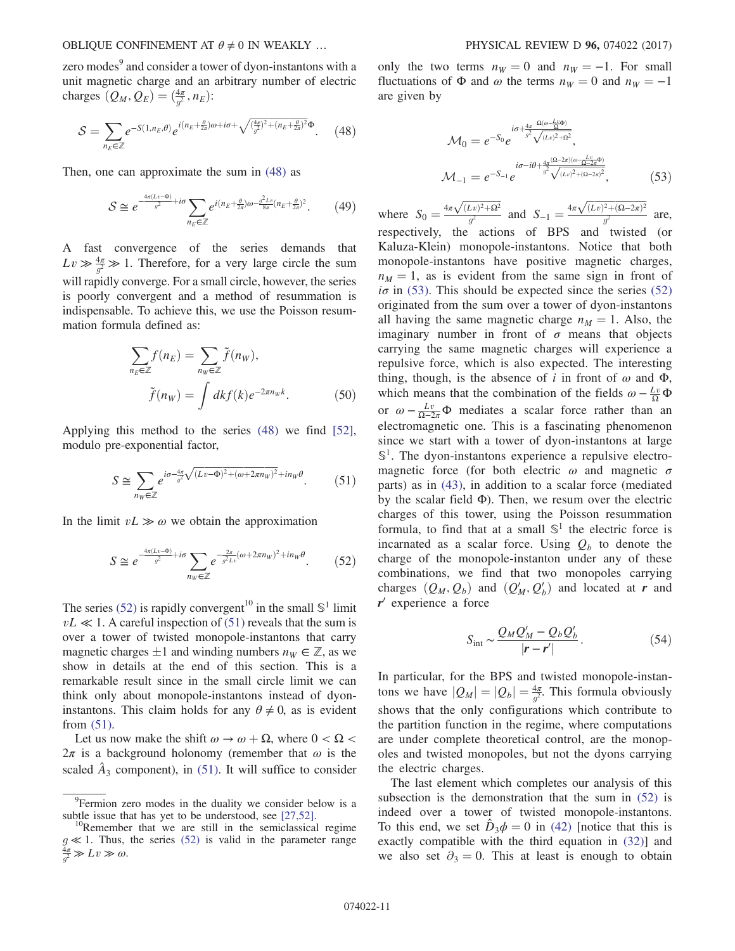<span id="page-11-0"></span>zero modes<sup>9</sup> and consider a tower of dyon-instantons with a unit magnetic charge and an arbitrary number of electric charges  $(Q_M, Q_E) = (\frac{4\pi}{g^2}, n_E)$ :

$$
S = \sum_{n_E \in \mathbb{Z}} e^{-S(1, n_E, \theta)} e^{i(n_E + \frac{\theta}{2\pi})\omega + i\sigma + \sqrt{\frac{(4\pi}{g})^2 + (n_E + \frac{\theta}{2\pi})^2} \Phi}.
$$
 (48)

Then, one can approximate the sum in [\(48\)](#page-11-0) as

$$
S \cong e^{-\frac{4\pi (Lv - \Phi)}{g^2} + i\sigma} \sum_{n_E \in \mathbb{Z}} e^{i(n_E + \frac{\theta}{2\pi})\omega - \frac{g^2 Lv}{8\pi} (n_E + \frac{\theta}{2\pi})^2}.
$$
 (49)

A fast convergence of the series demands that  $Lv \gg \frac{4\pi}{g^2} \gg 1$ . Therefore, for a very large circle the sum will rapidly converge. For a small circle, however, the series is poorly convergent and a method of resummation is indispensable. To achieve this, we use the Poisson resummation formula defined as:

$$
\sum_{n_E \in \mathbb{Z}} f(n_E) = \sum_{n_W \in \mathbb{Z}} \tilde{f}(n_W),
$$

$$
\tilde{f}(n_W) = \int dk f(k) e^{-2\pi n_W k}.
$$
 (50)

<span id="page-11-2"></span>Applying this method to the series [\(48\)](#page-11-0) we find [\[52\]](#page-15-27), modulo pre-exponential factor,

$$
S \cong \sum_{n_w \in \mathbb{Z}} e^{i\sigma - \frac{4\pi}{g^2} \sqrt{(Lv - \Phi)^2 + (\omega + 2\pi n_w)^2} + in_w \theta}.
$$
 (51)

<span id="page-11-1"></span>In the limit  $vL \gg \omega$  we obtain the approximation

$$
S \cong e^{-\frac{4\pi (Lv - \Phi)}{g^2} + i\sigma} \sum_{n_W \in \mathbb{Z}} e^{-\frac{2\pi}{g^2 Lv} (\omega + 2\pi n_W)^2 + i n_W \theta}.
$$
 (52)

The series [\(52\)](#page-11-1) is rapidly convergent<sup>10</sup> in the small  $\mathbb{S}^1$  limit  $vL \ll 1$ . A careful inspection of [\(51\)](#page-11-2) reveals that the sum is over a tower of twisted monopole-instantons that carry magnetic charges  $\pm 1$  and winding numbers  $n_w \in \mathbb{Z}$ , as we show in details at the end of this section. This is a remarkable result since in the small circle limit we can think only about monopole-instantons instead of dyoninstantons. This claim holds for any  $\theta \neq 0$ , as is evident from [\(51\)](#page-11-2).

Let us now make the shift  $\omega \to \omega + \Omega$ , where  $0 < \Omega <$  $2\pi$  is a background holonomy (remember that  $\omega$  is the scaled  $\hat{A}_3$  component), in [\(51\).](#page-11-2) It will suffice to consider <span id="page-11-3"></span>only the two terms  $n_W = 0$  and  $n_W = -1$ . For small fluctuations of  $\Phi$  and  $\omega$  the terms  $n_W = 0$  and  $n_W = -1$ are given by

$$
M_0 = e^{-S_0} e^{-\frac{i\sigma + \frac{4\pi}{3}(0 - \frac{Lv}{\Omega})}{g^2 \sqrt{(Lv)^2 + \Omega^2}}},
$$
  

$$
M_{-1} = e^{-S_{-1}} e^{-\frac{i\sigma - i\theta + \frac{4\pi}{3}(0 - 2\pi)(\omega - \frac{Lv}{\Omega - 2\pi})}{g^2 \sqrt{(Lv)^2 + (\Omega - 2\pi)^2}}},
$$
(53)

where  $S_0 = \frac{4\pi\sqrt{(Lv)^2 + \Omega^2}}{g^2}$  and  $S_{-1} = \frac{4\pi\sqrt{(Lv)^2 + (\Omega - 2\pi)^2}}{g^2}$  are, respectively, the actions of BPS and twisted (or Kaluza-Klein) monopole-instantons. Notice that both monopole-instantons have positive magnetic charges,  $n_M = 1$ , as is evident from the same sign in front of  $i\sigma$  in [\(53\)](#page-11-3). This should be expected since the series [\(52\)](#page-11-1) originated from the sum over a tower of dyon-instantons all having the same magnetic charge  $n_M = 1$ . Also, the imaginary number in front of  $\sigma$  means that objects carrying the same magnetic charges will experience a repulsive force, which is also expected. The interesting thing, though, is the absence of i in front of  $\omega$  and  $\Phi$ , which means that the combination of the fields  $\omega - \frac{Lv}{\Omega} \Phi$ or  $\omega - \frac{Lv}{\Omega - 2\pi} \Phi$  mediates a scalar force rather than an electromagnetic one. This is a fascinating phenomenon since we start with a tower of dyon-instantons at large  $\mathbb{S}^1$ . The dyon-instantons experience a repulsive electromagnetic force (for both electric  $\omega$  and magnetic  $\sigma$ parts) as in [\(43\),](#page-10-2) in addition to a scalar force (mediated by the scalar field  $\Phi$ ). Then, we resum over the electric charges of this tower, using the Poisson resummation formula, to find that at a small  $\mathbb{S}^1$  the electric force is incarnated as a scalar force. Using  $Q_b$  to denote the charge of the monopole-instanton under any of these combinations, we find that two monopoles carrying charges  $(Q_M, Q_b)$  and  $(Q'_M, Q'_b)$  and located at r and  $r'$  experience a force

$$
S_{\rm int} \sim \frac{Q_M Q_M' - Q_b Q_b'}{|r - r'|}. \tag{54}
$$

In particular, for the BPS and twisted monopole-instantons we have  $|Q_M| = |Q_b| = \frac{4\pi}{g^2}$ . This formula obviously shows that the only configurations which contribute to the partition function in the regime, where computations are under complete theoretical control, are the monopoles and twisted monopoles, but not the dyons carrying the electric charges.

The last element which completes our analysis of this subsection is the demonstration that the sum in [\(52\)](#page-11-1) is indeed over a tower of twisted monopole-instantons. To this end, we set  $\hat{D}_3\phi = 0$  in [\(42\)](#page-10-1) [notice that this is exactly compatible with the third equation in [\(32\)\]](#page-8-0) and we also set  $\partial_3 = 0$ . This at least is enough to obtain

<sup>&</sup>lt;sup>9</sup>Fermion zero modes in the duality we consider below is a subtle issue that has yet to be understood, see [\[27,52\].](#page-15-25)<br><sup>10</sup>Remember that we are still in the semiclassical regime

 $q \ll 1$ . Thus, the series [\(52\)](#page-11-1) is valid in the parameter range  $rac{4\pi}{a^2} \gg Lv \gg \omega$ .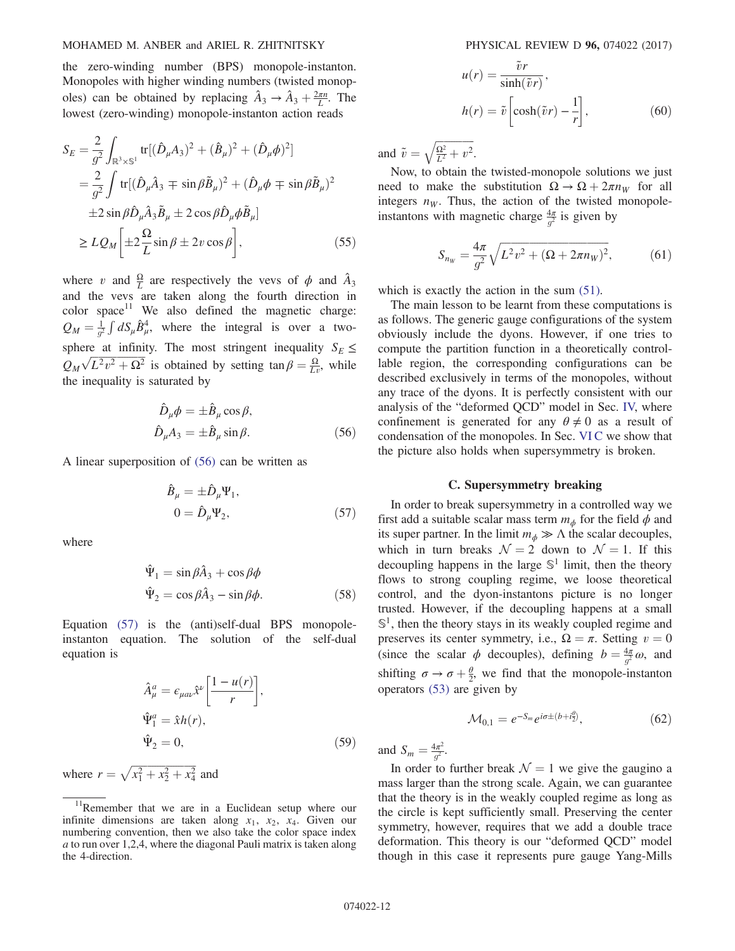the zero-winding number (BPS) monopole-instanton. Monopoles with higher winding numbers (twisted monopoles) can be obtained by replacing  $\hat{A}_3 \rightarrow \hat{A}_3 + \frac{2\pi n}{L}$ . The lowest (zero-winding) monopole-instanton action reads

$$
S_E = \frac{2}{g^2} \int_{\mathbb{R}^3 \times \mathbb{S}^1} \text{tr}[(\hat{D}_\mu A_3)^2 + (\hat{B}_\mu)^2 + (\hat{D}_\mu \phi)^2]
$$
  
\n
$$
= \frac{2}{g^2} \int \text{tr}[(\hat{D}_\mu \hat{A}_3 \mp \sin \beta \tilde{B}_\mu)^2 + (\hat{D}_\mu \phi \mp \sin \beta \tilde{B}_\mu)^2
$$
  
\n
$$
\pm 2 \sin \beta \hat{D}_\mu \hat{A}_3 \tilde{B}_\mu \pm 2 \cos \beta \hat{D}_\mu \phi \tilde{B}_\mu]
$$
  
\n
$$
\geq L Q_M \left[ \pm 2 \frac{\Omega}{L} \sin \beta \pm 2 \nu \cos \beta \right],
$$
 (55)

where v and  $\frac{\Omega}{L}$  are respectively the vevs of  $\phi$  and  $\hat{A}_3$ and the vevs are taken along the fourth direction in color space $11$  We also defined the magnetic charge:  $Q_M = \frac{1}{g^2} \int dS_\mu \hat{B}^4_\mu$ , where the integral is over a twosphere at infinity. The most stringent inequality  $S_E \leq$  $Q_M \sqrt{L^2 v^2 + \Omega^2}$  is obtained by setting tan  $\beta = \frac{\Omega}{Lv}$ , while the inequality is saturated by

$$
\hat{D}_{\mu}\phi = \pm \hat{B}_{\mu}\cos\beta,
$$
  
\n
$$
\hat{D}_{\mu}A_{3} = \pm \hat{B}_{\mu}\sin\beta.
$$
\n(56)

<span id="page-12-1"></span><span id="page-12-0"></span>A linear superposition of [\(56\)](#page-12-0) can be written as

$$
\hat{B}_{\mu} = \pm \hat{D}_{\mu} \Psi_1, \n0 = \hat{D}_{\mu} \Psi_2,
$$
\n(57)

where

$$
\hat{\Psi}_1 = \sin \beta \hat{A}_3 + \cos \beta \phi
$$
  
\n
$$
\hat{\Psi}_2 = \cos \beta \hat{A}_3 - \sin \beta \phi.
$$
 (58)

Equation [\(57\)](#page-12-1) is the (anti)self-dual BPS monopoleinstanton equation. The solution of the self-dual equation is

$$
\hat{A}^a_\mu = \epsilon_{\mu a\nu} \hat{x}^\nu \left[ \frac{1 - u(r)}{r} \right],
$$
  

$$
\hat{\Psi}^a_1 = \hat{x} h(r),
$$
  

$$
\hat{\Psi}_2 = 0,
$$
 (59)

where  $r = \sqrt{x_1^2 + x_2^2 + x_4^2}$  and

$$
u(r) = \frac{\tilde{v}r}{\sinh(\tilde{v}r)},
$$
  
\n
$$
h(r) = \tilde{v} \left[ \cosh(\tilde{v}r) - \frac{1}{r} \right],
$$
\n(60)

and  $\tilde{v} = \sqrt{\frac{\Omega^2}{L^2} + v^2}$ .

Now, to obtain the twisted-monopole solutions we just need to make the substitution  $\Omega \to \Omega + 2\pi n_W$  for all integers  $n_W$ . Thus, the action of the twisted monopoleinstantons with magnetic charge  $\frac{4\pi}{g^2}$  is given by

$$
S_{n_W} = \frac{4\pi}{g^2} \sqrt{L^2 v^2 + (\Omega + 2\pi n_W)^2},
$$
 (61)

which is exactly the action in the sum  $(51)$ .

The main lesson to be learnt from these computations is as follows. The generic gauge configurations of the system obviously include the dyons. However, if one tries to compute the partition function in a theoretically controllable region, the corresponding configurations can be described exclusively in terms of the monopoles, without any trace of the dyons. It is perfectly consistent with our analysis of the "deformed QCD" model in Sec. [IV,](#page-6-0) where confinement is generated for any  $\theta \neq 0$  as a result of condensation of the monopoles. In Sec. [VI C](#page-12-2) we show that the picture also holds when supersymmetry is broken.

#### C. Supersymmetry breaking

<span id="page-12-2"></span>In order to break supersymmetry in a controlled way we first add a suitable scalar mass term  $m_{\phi}$  for the field  $\phi$  and its super partner. In the limit  $m_{\phi} \gg \Lambda$  the scalar decouples, which in turn breaks  $\mathcal{N} = 2$  down to  $\mathcal{N} = 1$ . If this decoupling happens in the large  $\mathbb{S}^1$  limit, then the theory flows to strong coupling regime, we loose theoretical control, and the dyon-instantons picture is no longer trusted. However, if the decoupling happens at a small  $\mathbb{S}^1$ , then the theory stays in its weakly coupled regime and preserves its center symmetry, i.e.,  $\Omega = \pi$ . Setting  $v = 0$ (since the scalar  $\phi$  decouples), defining  $b = \frac{4\pi}{g^2}\omega$ , and shifting  $\sigma \to \sigma + \frac{\theta}{2}$ , we find that the monopole-instanton operators [\(53\)](#page-11-3) are given by

$$
\mathcal{M}_{0,1} = e^{-S_m} e^{i\sigma \pm (b + i\frac{\theta}{2})},\tag{62}
$$

and  $S_m = \frac{4\pi^2}{g^2}$ .

In order to further break  $\mathcal{N} = 1$  we give the gaugino a mass larger than the strong scale. Again, we can guarantee that the theory is in the weakly coupled regime as long as the circle is kept sufficiently small. Preserving the center symmetry, however, requires that we add a double trace deformation. This theory is our "deformed QCD" model though in this case it represents pure gauge Yang-Mills

<sup>&</sup>lt;sup>11</sup>Remember that we are in a Euclidean setup where our infinite dimensions are taken along  $x_1$ ,  $x_2$ ,  $x_4$ . Given our numbering convention, then we also take the color space index a to run over 1,2,4, where the diagonal Pauli matrix is taken along the 4-direction.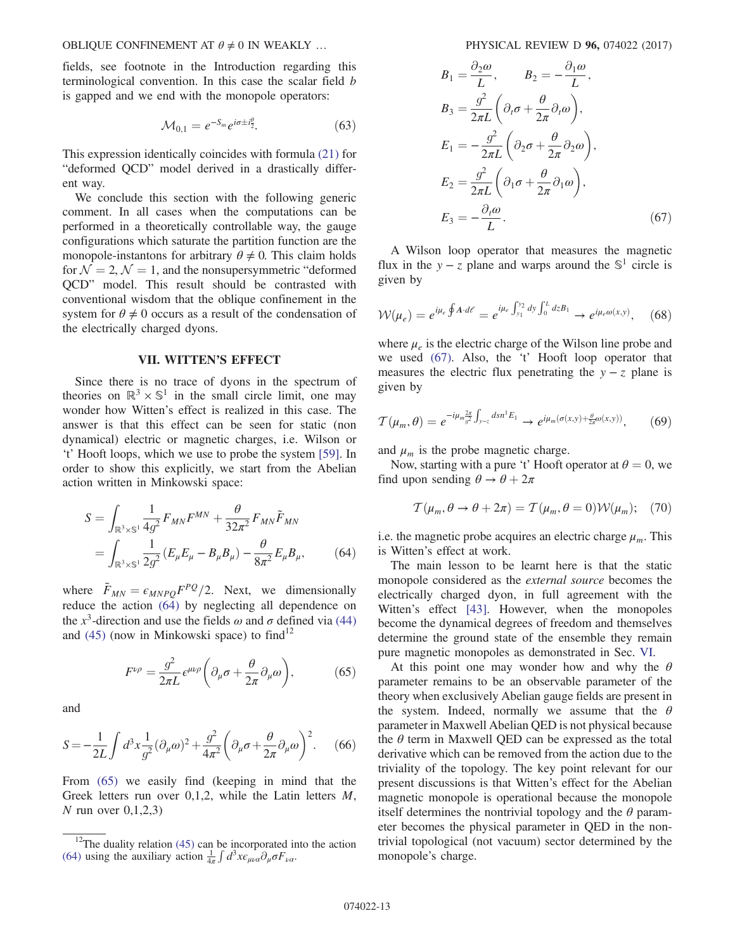<span id="page-13-1"></span>fields, see footnote in the Introduction regarding this terminological convention. In this case the scalar field b is gapped and we end with the monopole operators:

$$
\mathcal{M}_{0,1} = e^{-S_m} e^{i\sigma \pm i\frac{\theta}{2}}.
$$
\n(63)

This expression identically coincides with formula [\(21\)](#page-6-6) for "deformed QCD" model derived in a drastically different way.

We conclude this section with the following generic comment. In all cases when the computations can be performed in a theoretically controllable way, the gauge configurations which saturate the partition function are the monopole-instantons for arbitrary  $\theta \neq 0$ . This claim holds for  $\mathcal{N} = 2, \mathcal{N} = 1$ , and the nonsupersymmetric "deformed" QCD" model. This result should be contrasted with conventional wisdom that the oblique confinement in the system for  $\theta \neq 0$  occurs as a result of the condensation of the electrically charged dyons.

#### VII. WITTEN'S EFFECT

<span id="page-13-0"></span>Since there is no trace of dyons in the spectrum of theories on  $\mathbb{R}^3 \times \mathbb{S}^1$  in the small circle limit, one may wonder how Witten's effect is realized in this case. The answer is that this effect can be seen for static (non dynamical) electric or magnetic charges, i.e. Wilson or 't' Hooft loops, which we use to probe the system [\[59\].](#page-15-28) In order to show this explicitly, we start from the Abelian action written in Minkowski space:

<span id="page-13-2"></span>
$$
S = \int_{\mathbb{R}^3 \times \mathbb{S}^1} \frac{1}{4g^2} F_{MN} F^{MN} + \frac{\theta}{32\pi^2} F_{MN} \tilde{F}_{MN}
$$
  
= 
$$
\int_{\mathbb{R}^3 \times \mathbb{S}^1} \frac{1}{2g^2} (E_{\mu} E_{\mu} - B_{\mu} B_{\mu}) - \frac{\theta}{8\pi^2} E_{\mu} B_{\mu},
$$
 (64)

<span id="page-13-3"></span>where  $\tilde{F}_{MN} = \epsilon_{MNPQ}F^{PQ}/2$ . Next, we dimensionally reduce the action [\(64\)](#page-13-2) by neglecting all dependence on the  $x^3$ -direction and use the fields  $\omega$  and  $\sigma$  defined via [\(44\)](#page-10-3) and [\(45\)](#page-10-4) (now in Minkowski space) to find<sup>12</sup>

$$
F^{\nu\rho} = \frac{g^2}{2\pi L} \epsilon^{\mu\nu\rho} \left( \partial_{\mu}\sigma + \frac{\theta}{2\pi} \partial_{\mu}\omega \right), \tag{65}
$$

and

$$
S = -\frac{1}{2L} \int d^3x \frac{1}{g^2} (\partial_\mu \omega)^2 + \frac{g^2}{4\pi^2} \left( \partial_\mu \sigma + \frac{\theta}{2\pi} \partial_\mu \omega \right)^2.
$$
 (66)

<span id="page-13-4"></span>From [\(65\)](#page-13-3) we easily find (keeping in mind that the Greek letters run over 0,1,2, while the Latin letters M, N run over  $0,1,2,3$ 

$$
B_1 = \frac{\partial_2 \omega}{L}, \qquad B_2 = -\frac{\partial_1 \omega}{L},
$$
  
\n
$$
B_3 = \frac{g^2}{2\pi L} \left( \partial_t \sigma + \frac{\theta}{2\pi} \partial_t \omega \right),
$$
  
\n
$$
E_1 = -\frac{g^2}{2\pi L} \left( \partial_2 \sigma + \frac{\theta}{2\pi} \partial_2 \omega \right),
$$
  
\n
$$
E_2 = \frac{g^2}{2\pi L} \left( \partial_1 \sigma + \frac{\theta}{2\pi} \partial_1 \omega \right),
$$
  
\n
$$
E_3 = -\frac{\partial_t \omega}{L}.
$$
  
\n(67)

A Wilson loop operator that measures the magnetic flux in the y – z plane and warps around the  $\mathbb{S}^1$  circle is given by

$$
\mathcal{W}(\mu_e) = e^{i\mu_e} \oint A \cdot d\ell = e^{i\mu_e} \int_{y_1}^{y_2} dy \int_0^L dz B_1 \rightarrow e^{i\mu_e \omega(x,y)}, \quad (68)
$$

where  $\mu_e$  is the electric charge of the Wilson line probe and we used [\(67\)](#page-13-4). Also, the 't' Hooft loop operator that measures the electric flux penetrating the  $y - z$  plane is given by

$$
\mathcal{T}(\mu_m, \theta) = e^{-i\mu_m \frac{2\pi}{g^2} \int_{y-z} ds n^1 E_1} \to e^{i\mu_m(\sigma(x, y) + \frac{\theta}{2\pi}\omega(x, y))}, \quad (69)
$$

and  $\mu_m$  is the probe magnetic charge.

Now, starting with a pure 't' Hooft operator at  $\theta = 0$ , we find upon sending  $\theta \rightarrow \theta + 2\pi$ 

$$
\mathcal{T}(\mu_m, \theta \to \theta + 2\pi) = \mathcal{T}(\mu_m, \theta = 0) \mathcal{W}(\mu_m); \quad (70)
$$

i.e. the magnetic probe acquires an electric charge  $\mu_m$ . This is Witten's effect at work.

The main lesson to be learnt here is that the static monopole considered as the external source becomes the electrically charged dyon, in full agreement with the Witten's effect [\[43\].](#page-15-15) However, when the monopoles become the dynamical degrees of freedom and themselves determine the ground state of the ensemble they remain pure magnetic monopoles as demonstrated in Sec. [VI.](#page-9-0)

At this point one may wonder how and why the  $\theta$ parameter remains to be an observable parameter of the theory when exclusively Abelian gauge fields are present in the system. Indeed, normally we assume that the  $\theta$ parameter in Maxwell Abelian QED is not physical because the  $\theta$  term in Maxwell QED can be expressed as the total derivative which can be removed from the action due to the triviality of the topology. The key point relevant for our present discussions is that Witten's effect for the Abelian magnetic monopole is operational because the monopole itself determines the nontrivial topology and the  $\theta$  parameter becomes the physical parameter in QED in the nontrivial topological (not vacuum) sector determined by the monopole's charge.

<sup>&</sup>lt;sup>12</sup>The duality relation  $(45)$  can be incorporated into the action [\(64\)](#page-13-2) using the auxiliary action  $\frac{1}{4\pi} \int d^3x \epsilon_{\mu\nu\alpha} \partial_\mu \sigma F_{\nu\alpha}$ .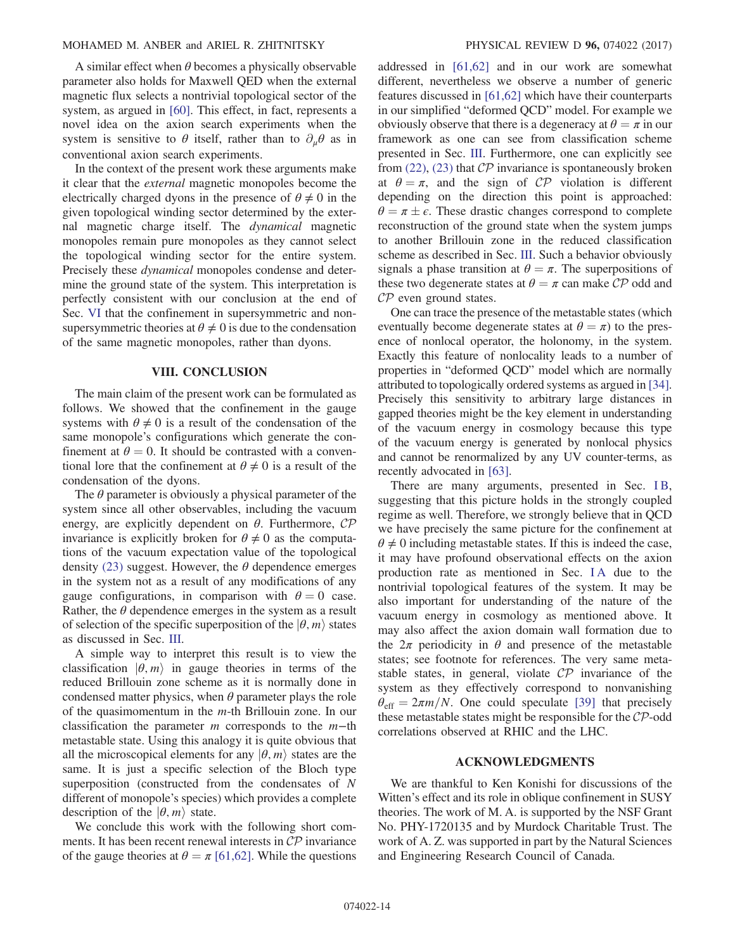A similar effect when  $\theta$  becomes a physically observable parameter also holds for Maxwell QED when the external magnetic flux selects a nontrivial topological sector of the system, as argued in [\[60\]](#page-15-29). This effect, in fact, represents a novel idea on the axion search experiments when the system is sensitive to  $\theta$  itself, rather than to  $\partial_{\mu}\theta$  as in conventional axion search experiments.

In the context of the present work these arguments make it clear that the external magnetic monopoles become the electrically charged dyons in the presence of  $\theta \neq 0$  in the given topological winding sector determined by the external magnetic charge itself. The dynamical magnetic monopoles remain pure monopoles as they cannot select the topological winding sector for the entire system. Precisely these *dynamical* monopoles condense and determine the ground state of the system. This interpretation is perfectly consistent with our conclusion at the end of Sec. [VI](#page-9-0) that the confinement in supersymmetric and nonsupersymmetric theories at  $\theta \neq 0$  is due to the condensation of the same magnetic monopoles, rather than dyons.

#### VIII. CONCLUSION

The main claim of the present work can be formulated as follows. We showed that the confinement in the gauge systems with  $\theta \neq 0$  is a result of the condensation of the same monopole's configurations which generate the confinement at  $\theta = 0$ . It should be contrasted with a conventional lore that the confinement at  $\theta \neq 0$  is a result of the condensation of the dyons.

The  $\theta$  parameter is obviously a physical parameter of the system since all other observables, including the vacuum energy, are explicitly dependent on  $\theta$ . Furthermore,  $\mathcal{CP}$ invariance is explicitly broken for  $\theta \neq 0$  as the computations of the vacuum expectation value of the topological density [\(23\)](#page-6-2) suggest. However, the  $\theta$  dependence emerges in the system not as a result of any modifications of any gauge configurations, in comparison with  $\theta = 0$  case. Rather, the  $\theta$  dependence emerges in the system as a result of selection of the specific superposition of the  $|\theta, m\rangle$  states as discussed in Sec. [III.](#page-5-0)

A simple way to interpret this result is to view the classification  $|\theta, m\rangle$  in gauge theories in terms of the reduced Brillouin zone scheme as it is normally done in condensed matter physics, when  $\theta$  parameter plays the role of the quasimomentum in the m-th Brillouin zone. In our classification the parameter  $m$  corresponds to the  $m$ −th metastable state. Using this analogy it is quite obvious that all the microscopical elements for any  $\vert \theta, m \rangle$  states are the same. It is just a specific selection of the Bloch type superposition (constructed from the condensates of N different of monopole's species) which provides a complete description of the  $|\theta, m\rangle$  state.

We conclude this work with the following short comments. It has been recent renewal interests in  $\mathcal{CP}$  invariance of the gauge theories at  $\theta = \pi$  [\[61,62\]](#page-15-30). While the questions addressed in [\[61,62\]](#page-15-30) and in our work are somewhat different, nevertheless we observe a number of generic features discussed in [\[61,62\]](#page-15-30) which have their counterparts in our simplified "deformed QCD" model. For example we obviously observe that there is a degeneracy at  $\theta = \pi$  in our framework as one can see from classification scheme presented in Sec. [III](#page-5-0). Furthermore, one can explicitly see from  $(22)$ ,  $(23)$  that  $\mathcal{CP}$  invariance is spontaneously broken at  $\theta = \pi$ , and the sign of CP violation is different depending on the direction this point is approached:  $\theta = \pi \pm \epsilon$ . These drastic changes correspond to complete reconstruction of the ground state when the system jumps to another Brillouin zone in the reduced classification scheme as described in Sec. [III.](#page-5-0) Such a behavior obviously signals a phase transition at  $\theta = \pi$ . The superpositions of these two degenerate states at  $\theta = \pi$  can make CP odd and  $\mathcal{CP}$  even ground states.

One can trace the presence of the metastable states (which eventually become degenerate states at  $\theta = \pi$ ) to the presence of nonlocal operator, the holonomy, in the system. Exactly this feature of nonlocality leads to a number of properties in "deformed QCD" model which are normally attributed to topologically ordered systems as argued in [\[34\]](#page-15-12). Precisely this sensitivity to arbitrary large distances in gapped theories might be the key element in understanding of the vacuum energy in cosmology because this type of the vacuum energy is generated by nonlocal physics and cannot be renormalized by any UV counter-terms, as recently advocated in [\[63\].](#page-15-31)

There are many arguments, presented in Sec. IB, suggesting that this picture holds in the strongly coupled regime as well. Therefore, we strongly believe that in QCD we have precisely the same picture for the confinement at  $\theta \neq 0$  including metastable states. If this is indeed the case, it may have profound observational effects on the axion production rate as mentioned in Sec. IA due to the nontrivial topological features of the system. It may be also important for understanding of the nature of the vacuum energy in cosmology as mentioned above. It may also affect the axion domain wall formation due to the  $2\pi$  periodicity in  $\theta$  and presence of the metastable states; see footnote for references. The very same metastable states, in general, violate  $\mathcal{CP}$  invariance of the system as they effectively correspond to nonvanishing  $\theta_{\text{eff}} = 2\pi m/N$ . One could speculate [\[39\]](#page-15-17) that precisely these metastable states might be responsible for the CP-odd correlations observed at RHIC and the LHC.

## ACKNOWLEDGMENTS

We are thankful to Ken Konishi for discussions of the Witten's effect and its role in oblique confinement in SUSY theories. The work of M. A. is supported by the NSF Grant No. PHY-1720135 and by Murdock Charitable Trust. The work of A. Z. was supported in part by the Natural Sciences and Engineering Research Council of Canada.